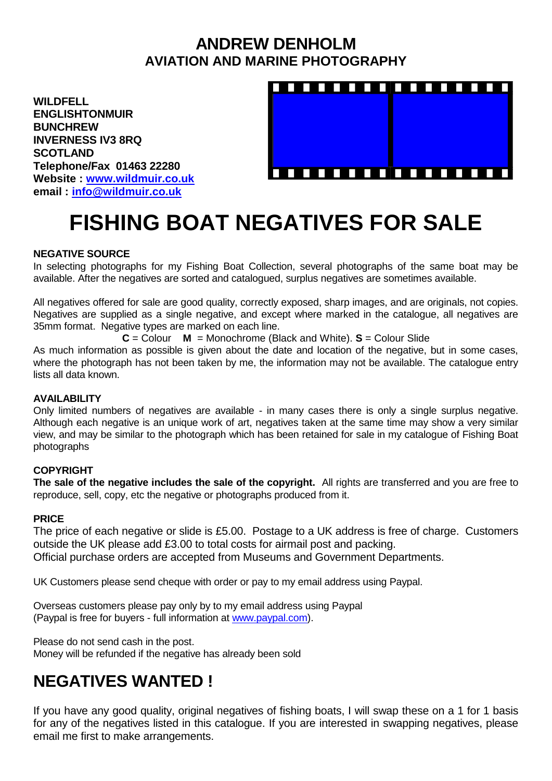### **ANDREW DENHOLM AVIATION AND MARINE PHOTOGRAPHY**

**WILDFELL ENGLISHTONMUIR BUNCHREW INVERNESS IV3 8RQ SCOTLAND Telephone/Fax 01463 22280 Website : [www.wildmuir.co.uk](http://www.wildmuir.co.uk/) email : [info@wildmuir.co.uk](mailto:info@wildmuir.co.uk)**



# **FISHING BOAT NEGATIVES FOR SALE**

#### **NEGATIVE SOURCE**

In selecting photographs for my Fishing Boat Collection, several photographs of the same boat may be available. After the negatives are sorted and catalogued, surplus negatives are sometimes available.

All negatives offered for sale are good quality, correctly exposed, sharp images, and are originals, not copies. Negatives are supplied as a single negative, and except where marked in the catalogue, all negatives are 35mm format. Negative types are marked on each line.

**C** = Colour **M** = Monochrome (Black and White). **S** = Colour Slide

As much information as possible is given about the date and location of the negative, but in some cases, where the photograph has not been taken by me, the information may not be available. The catalogue entry lists all data known.

#### **AVAILABILITY**

Only limited numbers of negatives are available - in many cases there is only a single surplus negative. Although each negative is an unique work of art, negatives taken at the same time may show a very similar view, and may be similar to the photograph which has been retained for sale in my catalogue of Fishing Boat photographs

#### **COPYRIGHT**

**The sale of the negative includes the sale of the copyright.** All rights are transferred and you are free to reproduce, sell, copy, etc the negative or photographs produced from it.

#### **PRICE**

The price of each negative or slide is £5.00. Postage to a UK address is free of charge. Customers outside the UK please add £3.00 to total costs for airmail post and packing. Official purchase orders are accepted from Museums and Government Departments.

UK Customers please send cheque with order or pay to my email address using Paypal.

Overseas customers please pay only by to my email address using Paypal (Paypal is free for buyers - full information at [www.paypal.com\)](http://www.paypal.com/).

Please do not send cash in the post. Money will be refunded if the negative has already been sold

## **NEGATIVES WANTED !**

If you have any good quality, original negatives of fishing boats, I will swap these on a 1 for 1 basis for any of the negatives listed in this catalogue. If you are interested in swapping negatives, please email me first to make arrangements.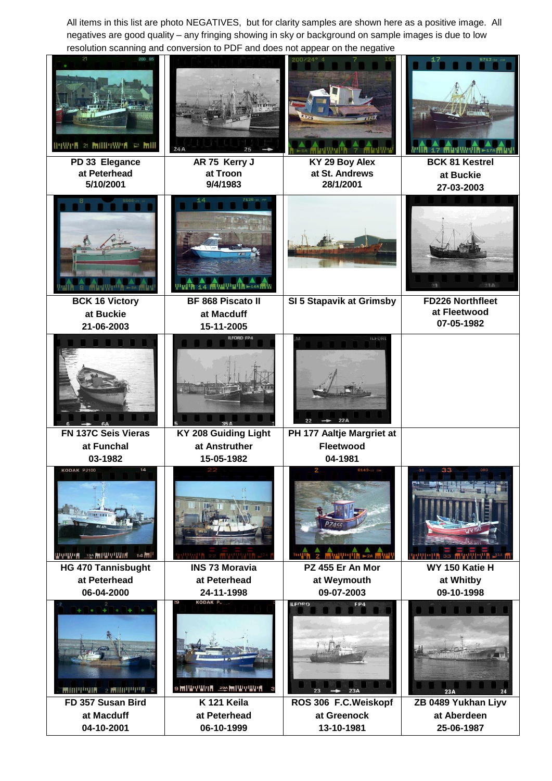All items in this list are photo NEGATIVES, but for clarity samples are shown here as a positive image. All negatives are good quality – any fringing showing in sky or background on sample images is due to low resolution scanning and conversion to PDF and does not appear on the negative

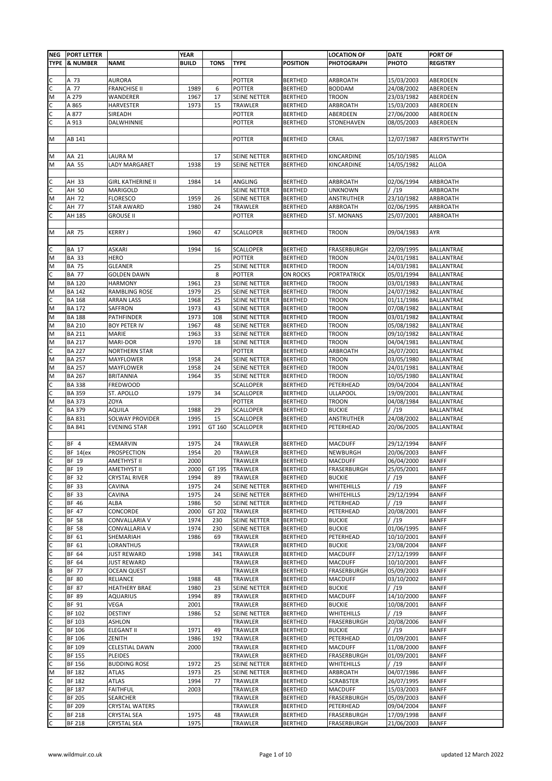|                                                                                                            | NEG   PORT LETTER |                       | <b>YEAR</b>  |             |                     |                 | <b>LOCATION OF</b> | <b>DATE</b> | <b>PORT OF</b>    |
|------------------------------------------------------------------------------------------------------------|-------------------|-----------------------|--------------|-------------|---------------------|-----------------|--------------------|-------------|-------------------|
|                                                                                                            | TYPE  & NUMBER    | <b>NAME</b>           | <b>BUILD</b> | <b>TONS</b> | <b>TYPE</b>         | <b>POSITION</b> | <b>PHOTOGRAPH</b>  | PHOTO       | <b>REGISTRY</b>   |
|                                                                                                            |                   |                       |              |             |                     |                 |                    |             |                   |
|                                                                                                            |                   |                       |              |             |                     |                 |                    |             |                   |
| C                                                                                                          | A 73              | AURORA                |              |             | POTTER              | <b>BERTHED</b>  | ARBROATH           | 15/03/2003  | ABERDEEN          |
| $\mathsf{C}$                                                                                               | A 77              | <b>FRANCHISE II</b>   | 1989         | 6           | POTTER              | <b>BERTHED</b>  | <b>BODDAM</b>      | 24/08/2002  | ABERDEEN          |
| M                                                                                                          | A 279             | WANDERER              | 1967         | 17          | SEINE NETTER        | <b>BERTHED</b>  | <b>TROON</b>       | 23/03/1982  | ABERDEEN          |
| $\mathsf{C}$                                                                                               | A 865             | <b>HARVESTER</b>      | 1973         | 15          | TRAWLER             | <b>BERTHED</b>  | ARBROATH           | 15/03/2003  | ABERDEEN          |
| $\mathsf{C}$                                                                                               | A 877             | SIREADH               |              |             | <b>POTTER</b>       | <b>BERTHED</b>  | ABERDEEN           | 27/06/2000  | ABERDEEN          |
| $\overline{\mathsf{c}}$                                                                                    | A 913             | DALWHINNIE            |              |             | <b>POTTER</b>       | <b>BERTHED</b>  | STONEHAVEN         | 08/05/2003  | ABERDEEN          |
|                                                                                                            |                   |                       |              |             |                     |                 |                    |             |                   |
| M                                                                                                          | AB 141            |                       |              |             | POTTER              | <b>BERTHED</b>  | CRAIL              | 12/07/1987  | ABERYSTWYTH       |
|                                                                                                            |                   |                       |              |             |                     |                 |                    |             |                   |
| M                                                                                                          | AA 21             | LAURA M               |              | 17          | SEINE NETTER        | <b>BERTHED</b>  | KINCARDINE         | 05/10/1985  | <b>ALLOA</b>      |
| M                                                                                                          | AA 55             | LADY MARGARET         | 1938         | 19          | SEINE NETTER        | <b>BERTHED</b>  | KINCARDINE         | 14/05/1982  | <b>ALLOA</b>      |
|                                                                                                            |                   |                       |              |             |                     |                 |                    |             |                   |
|                                                                                                            | AH 33             | GIRL KATHERINE II     | 1984         | 14          | ANGLING             | <b>BERTHED</b>  | ARBROATH           | 02/06/1994  | ARBROATH          |
| $\frac{1}{2}$                                                                                              | AH 50             | MARIGOLD              |              |             | SEINE NETTER        | <b>BERTHED</b>  | <b>UNKNOWN</b>     | / /19       | ARBROATH          |
| M                                                                                                          | AH 72             | <b>FLORESCO</b>       | 1959         | 26          | SEINE NETTER        | <b>BERTHED</b>  | ANSTRUTHER         | 23/10/1982  | ARBROATH          |
| $\mathsf{C}$                                                                                               | AH 77             | STAR AWARD            | 1980         | 24          | TRAWLER             | <b>BERTHED</b>  | ARBROATH           | 02/06/1995  | ARBROATH          |
| $\overline{\mathsf{c}}$                                                                                    | AH 185            | grouse II             |              |             | <b>POTTER</b>       | <b>BERTHED</b>  | ST. MONANS         | 25/07/2001  | ARBROATH          |
|                                                                                                            |                   |                       |              |             |                     |                 |                    |             |                   |
| M                                                                                                          |                   |                       |              |             |                     |                 |                    |             |                   |
|                                                                                                            | AR 75             | <b>KERRY J</b>        | 1960         | 47          | SCALLOPER           | <b>BERTHED</b>  | <b>TROON</b>       | 09/04/1983  | AYR               |
|                                                                                                            |                   |                       |              |             |                     |                 |                    |             |                   |
| C                                                                                                          | <b>BA 17</b>      | ASKARI                | 1994         | 16          | SCALLOPER           | <b>BERTHED</b>  | FRASERBURGH        | 22/09/1995  | <b>BALLANTRAE</b> |
| M                                                                                                          | BA 33             | <b>HERO</b>           |              |             | POTTER              | <b>BERTHED</b>  | <b>TROON</b>       | 24/01/1981  | BALLANTRAE        |
| M                                                                                                          | <b>BA 75</b>      | <b>GLEANER</b>        |              | 25          | SEINE NETTER        | <b>BERTHED</b>  | <b>TROON</b>       | 14/03/1981  | BALLANTRAE        |
| C                                                                                                          | <b>BA 77</b>      | <b>GOLDEN DAWN</b>    |              | 8           | POTTER              | ON ROCKS        | <b>PORTPATRICK</b> | 05/01/1994  | BALLANTRAE        |
| M                                                                                                          | <b>BA 120</b>     | HARMONY               | 1961         | 23          | SEINE NETTER        | <b>BERTHED</b>  | <b>TROON</b>       | 03/01/1983  | BALLANTRAE        |
| M                                                                                                          | <b>BA 142</b>     | RAMBLING ROSE         | 1979         | 25          | SEINE NETTER        | <b>BERTHED</b>  | <b>TROON</b>       | 24/07/1982  | BALLANTRAE        |
| $\mathsf{C}$                                                                                               | <b>BA 168</b>     | ARRAN LASS            | 1968         | 25          | SEINE NETTER        | <b>BERTHED</b>  | <b>TROON</b>       | 01/11/1986  | BALLANTRAE        |
| M                                                                                                          | <b>BA 172</b>     | SAFFRON               | 1973         | 43          | SEINE NETTER        | <b>BERTHED</b>  | <b>TROON</b>       | 07/08/1982  | BALLANTRAE        |
| M                                                                                                          | <b>BA 188</b>     | PATHFINDER            | 1973         | 108         | SEINE NETTER        | <b>BERTHED</b>  | <b>TROON</b>       | 03/01/1982  | BALLANTRAE        |
| M                                                                                                          | <b>BA 210</b>     | <b>BOY PETER IV</b>   | 1967         | 48          | SEINE NETTER        | <b>BERTHED</b>  | <b>TROON</b>       | 05/08/1982  | <b>BALLANTRAE</b> |
| M                                                                                                          | <b>BA 211</b>     | MARIE                 | 1963         | 33          | SEINE NETTER        | <b>BERTHED</b>  | <b>TROON</b>       | 09/10/1982  | BALLANTRAE        |
|                                                                                                            |                   |                       |              |             |                     |                 |                    |             |                   |
| $\frac{1}{2}$                                                                                              | <b>BA 217</b>     | MARI-DOR              | 1970         | 18          | SEINE NETTER        | <b>BERTHED</b>  | <b>TROON</b>       | 04/04/1981  | BALLANTRAE        |
|                                                                                                            | <b>BA 227</b>     | <b>NORTHERN STAR</b>  |              |             | POTTER              | <b>BERTHED</b>  | ARBROATH           | 26/07/2001  | <b>BALLANTRAE</b> |
| ${\sf M}$                                                                                                  | <b>BA 257</b>     | MAYFLOWER             | 1958         | 24          | SEINE NETTER        | <b>BERTHED</b>  | <b>TROON</b>       | 03/05/1980  | <b>BALLANTRAE</b> |
| $\mathsf{M}% _{T}=\mathsf{M}_{T}\!\left( a,b\right) ,\ \mathsf{M}_{T}=\mathsf{M}_{T}\!\left( a,b\right) ,$ | <b>BA 257</b>     | MAYFLOWER             | 1958         | 24          | SEINE NETTER        | <b>BERTHED</b>  | <b>TROON</b>       | 24/01/1981  | <b>BALLANTRAE</b> |
| $\mathsf{M}% _{1}\left( \mathsf{M}\right) ^{T}$                                                            | <b>BA 267</b>     | BRITANNIA             | 1964         | 35          | SEINE NETTER        | <b>BERTHED</b>  | <b>TROON</b>       | 10/05/1980  | BALLANTRAE        |
|                                                                                                            | <b>BA 338</b>     | <b>FREDWOOD</b>       |              |             | SCALLOPER           | <b>BERTHED</b>  | PETERHEAD          | 09/04/2004  | <b>BALLANTRAE</b> |
| $\frac{1}{2}$ o $\frac{1}{2}$                                                                              | <b>BA 359</b>     | ST. APOLLO            | 1979         | 34          | SCALLOPER           | <b>BERTHED</b>  | ULLAPOOL           | 19/09/2001  | <b>BALLANTRAE</b> |
|                                                                                                            | <b>BA 373</b>     | ZOYA                  |              |             | POTTER              | <b>BERTHED</b>  | <b>TROON</b>       | 04/08/1984  | <b>BALLANTRAE</b> |
|                                                                                                            | BA 379            | AQUILA                | 1988         | 29          | SCALLOPER           | <b>BERTHED</b>  | <b>BUCKIE</b>      | / /19       | BALLANTRAE        |
|                                                                                                            | <b>BA 831</b>     | SOLWAY PROVIDER       | 1995         | 15          | SCALLOPER           | <b>BERTHED</b>  | ANSTRUTHER         | 24/08/2002  | BALLANTRAE        |
| $\frac{1}{2}$                                                                                              | <b>BA 841</b>     | <b>EVENING STAR</b>   | 1991         | GT 160      | SCALLOPER           | <b>BERTHED</b>  | PETERHEAD          | 20/06/2005  | <b>BALLANTRAE</b> |
|                                                                                                            |                   |                       |              |             |                     |                 |                    |             |                   |
|                                                                                                            | BF 4              | <b>KEMARVIN</b>       | 1975         | 24          | TRAWLER             | <b>BERTHED</b>  | <b>MACDUFF</b>     | 29/12/1994  | <b>BANFF</b>      |
|                                                                                                            | BF 14(ex          | PROSPECTION           | 1954         | 20          | TRAWLER             | <b>BERTHED</b>  | NEWBURGH           | 20/06/2003  | <b>BANFF</b>      |
| $\frac{1}{2}$                                                                                              | <b>BF 19</b>      | AMETHYST II           | 2000         |             | TRAWLER             | <b>BERTHED</b>  | <b>MACDUFF</b>     | 06/04/2000  | <b>BANFF</b>      |
|                                                                                                            |                   |                       |              |             |                     |                 |                    |             |                   |
| $\mathsf{C}$                                                                                               | BF 19             | AMETHYST II           | 2000         | GT 195      | <b>TRAWLER</b>      | <b>BERTHED</b>  | FRASERBURGH        | 25/05/2001  | <b>BANFF</b>      |
| $\mathsf{C}$                                                                                               | BF 32             | CRYSTAL RIVER         | 1994         | 89          | TRAWLER             | <b>BERTHED</b>  | <b>BUCKIE</b>      | / /19       | <b>BANFF</b>      |
| $\mathsf{C}$                                                                                               | BF 33             | CAVINA                | 1975         | 24          | SEINE NETTER        | <b>BERTHED</b>  | WHITEHILLS         | / /19       | <b>BANFF</b>      |
| $\overline{c}$                                                                                             | BF 33             | CAVINA                | 1975         | 24          | SEINE NETTER        | <b>BERTHED</b>  | WHITEHILLS         | 29/12/1994  | <b>BANFF</b>      |
| $\overline{c}$                                                                                             | BF 46             | ALBA                  | 1986         | 50          | <b>SEINE NETTER</b> | <b>BERTHED</b>  | PETERHEAD          | / /19       | <b>BANFF</b>      |
| C                                                                                                          | BF 47             | CONCORDE              | 2000         | GT 202      | TRAWLER             | <b>BERTHED</b>  | PETERHEAD          | 20/08/2001  | <b>BANFF</b>      |
| $\overline{c}$                                                                                             | <b>BF 58</b>      | CONVALLARIA V         | 1974         | 230         | <b>SEINE NETTER</b> | <b>BERTHED</b>  | <b>BUCKIE</b>      | / /19       | <b>BANFF</b>      |
| $\overline{c}$                                                                                             | <b>BF 58</b>      | CONVALLARIA V         | 1974         | 230         | SEINE NETTER        | <b>BERTHED</b>  | <b>BUCKIE</b>      | 01/06/1995  | <b>BANFF</b>      |
| $\overline{c}$                                                                                             | BF 61             | SHEMARIAH             | 1986         | 69          | TRAWLER             | <b>BERTHED</b>  | PETERHEAD          | 10/10/2001  | <b>BANFF</b>      |
| 0 0                                                                                                        | BF 61             | LORANTHUS             |              |             | TRAWLER             | <b>BERTHED</b>  | <b>BUCKIE</b>      | 23/08/2004  | <b>BANFF</b>      |
|                                                                                                            | BF 64             | JUST REWARD           | 1998         | 341         | <b>TRAWLER</b>      | <b>BERTHED</b>  | <b>MACDUFF</b>     | 27/12/1999  | <b>BANFF</b>      |
|                                                                                                            | BF 64             | JUST REWARD           |              |             | TRAWLER             | <b>BERTHED</b>  | <b>MACDUFF</b>     | 10/10/2001  | <b>BANFF</b>      |
|                                                                                                            | <b>BF 77</b>      | <b>OCEAN QUEST</b>    |              |             | TRAWLER             | <b>BERTHED</b>  | FRASERBURGH        | 05/09/2003  | <b>BANFF</b>      |
| $\frac{1}{2}$                                                                                              | <b>BF 80</b>      | RELIANCE              | 1988         | 48          | TRAWLER             | <b>BERTHED</b>  | <b>MACDUFF</b>     | 03/10/2002  | <b>BANFF</b>      |
|                                                                                                            | BF 87             | <b>HEATHERY BRAE</b>  | 1980         | 23          | SEINE NETTER        | <b>BERTHED</b>  | <b>BUCKIE</b>      | / /19       | <b>BANFF</b>      |
|                                                                                                            | <b>BF 89</b>      | AQUARIUS              | 1994         | 89          | TRAWLER             | <b>BERTHED</b>  | <b>MACDUFF</b>     | 14/10/2000  | <b>BANFF</b>      |
|                                                                                                            |                   |                       |              |             |                     |                 |                    |             |                   |
| $rac{c}{c}$                                                                                                | BF 91             | VEGA                  | 2001         |             | TRAWLER             | <b>BERTHED</b>  | <b>BUCKIE</b>      | 10/08/2001  | <b>BANFF</b>      |
|                                                                                                            | BF 102            | DESTINY               | 1986         | 52          | SEINE NETTER        | <b>BERTHED</b>  | WHITEHILLS         | / /19       | <b>BANFF</b>      |
| $\frac{1}{2}$                                                                                              | BF 103            | ASHLON                |              |             | TRAWLER             | <b>BERTHED</b>  | FRASERBURGH        | 20/08/2006  | <b>BANFF</b>      |
|                                                                                                            | <b>BF 106</b>     | ELEGANT II            | 1971         | 49          | TRAWLER             | <b>BERTHED</b>  | <b>BUCKIE</b>      | / /19       | <b>BANFF</b>      |
|                                                                                                            | <b>BF 106</b>     | ZENITH                | 1986         | 192         | TRAWLER             | <b>BERTHED</b>  | PETERHEAD          | 01/09/2001  | <b>BANFF</b>      |
|                                                                                                            | <b>BF 109</b>     | <b>CELESTIAL DAWN</b> | 2000         |             | TRAWLER             | <b>BERTHED</b>  | <b>MACDUFF</b>     | 11/08/2000  | <b>BANFF</b>      |
| $\frac{1}{2}$                                                                                              | <b>BF 155</b>     | PLEIDES               |              |             | TRAWLER             | <b>BERTHED</b>  | FRASERBURGH        | 01/09/2001  | <b>BANFF</b>      |
|                                                                                                            | <b>BF 156</b>     | <b>BUDDING ROSE</b>   | 1972         | 25          | SEINE NETTER        | <b>BERTHED</b>  | WHITEHILLS         | / /19       | <b>BANFF</b>      |
| M                                                                                                          | BF 182            | ATLAS                 | 1973         | 25          | SEINE NETTER        | <b>BERTHED</b>  | ARBROATH           | 04/07/1986  | <b>BANFF</b>      |
| $\overline{c}$                                                                                             | BF 182            | ATLAS                 | 1994         | 77          | TRAWLER             | <b>BERTHED</b>  | SCRABSTER          | 26/07/1995  | <b>BANFF</b>      |
|                                                                                                            | BF 187            | FAITHFUL              | 2003         |             | TRAWLER             | <b>BERTHED</b>  | MACDUFF            | 15/03/2003  | <b>BANFF</b>      |
| $\sim$                                                                                                     | <b>BF 205</b>     | SEARCHER              |              |             | TRAWLER             | <b>BERTHED</b>  | FRASERBURGH        | 05/09/2003  | <b>BANFF</b>      |
|                                                                                                            | <b>BF 209</b>     | CRYSTAL WATERS        |              |             | TRAWLER             | <b>BERTHED</b>  | PETERHEAD          | 09/04/2004  | <b>BANFF</b>      |
| $\cup$ $\cup$                                                                                              | <b>BF 218</b>     | CRYSTAL SEA           | 1975         | 48          | TRAWLER             |                 | FRASERBURGH        |             | <b>BANFF</b>      |
|                                                                                                            |                   |                       |              |             |                     | <b>BERTHED</b>  |                    | 17/09/1998  |                   |
| $\mathsf{C}$                                                                                               | <b>BF 218</b>     | CRYSTAL SEA           | 1975         |             | TRAWLER             | <b>BERTHED</b>  | FRASERBURGH        | 21/06/2003  | <b>BANFF</b>      |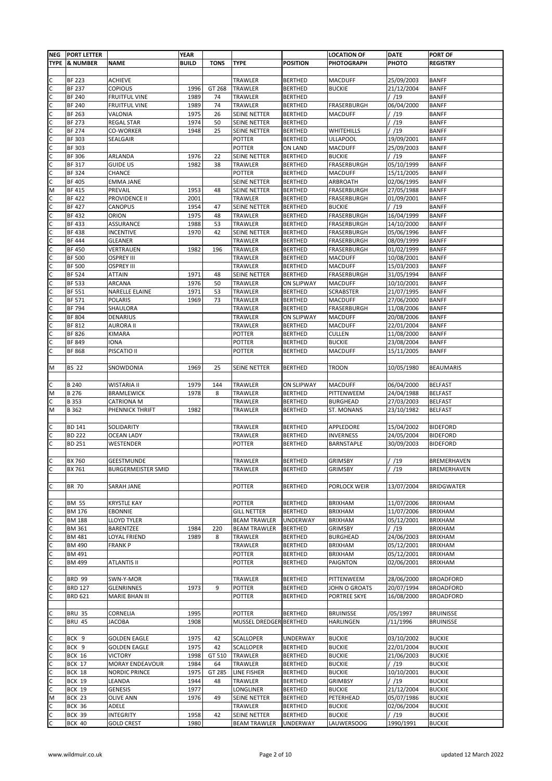| <b>NEG</b> | <b>PORT LETTER</b> |                           | <b>YEAR</b>  |             |                        |                   | <b>LOCATION OF</b> | <b>DATE</b> | <b>PORT OF</b>    |
|------------|--------------------|---------------------------|--------------|-------------|------------------------|-------------------|--------------------|-------------|-------------------|
|            | TYPE  & NUMBER     | <b>NAME</b>               | <b>BUILD</b> | <b>TONS</b> | <b>TYPE</b>            | <b>POSITION</b>   | <b>PHOTOGRAPH</b>  | PHOTO       | <b>REGISTRY</b>   |
|            |                    |                           |              |             |                        |                   |                    |             |                   |
| C          | <b>BF 223</b>      | <b>ACHIEVE</b>            |              |             | TRAWLER                | <b>BERTHED</b>    | <b>MACDUFF</b>     | 25/09/2003  | <b>BANFF</b>      |
| C          | <b>BF 237</b>      | <b>COPIOUS</b>            | 1996         | GT 268      | TRAWLER                | <b>BERTHED</b>    | <b>BUCKIE</b>      | 21/12/2004  | <b>BANFF</b>      |
| C          | <b>BF 240</b>      | <b>FRUITFUL VINE</b>      | 1989         | 74          | TRAWLER                | <b>BERTHED</b>    |                    | / /19       | <b>BANFF</b>      |
| C          | <b>BF 240</b>      | <b>FRUITFUL VINE</b>      | 1989         |             | TRAWLER                | <b>BERTHED</b>    | FRASERBURGH        | 06/04/2000  | <b>BANFF</b>      |
|            |                    |                           |              | 74          |                        |                   |                    |             |                   |
| C          | BF 263             | VALONIA                   | 1975         | 26          | SEINE NETTER           | <b>BERTHED</b>    | <b>MACDUFF</b>     | / /19       | <b>BANFF</b>      |
| C          | <b>BF 273</b>      | <b>REGAL STAR</b>         | 1974         | 50          | SEINE NETTER           | <b>BERTHED</b>    |                    | / /19       | <b>BANFF</b>      |
| с          | <b>BF 274</b>      | <b>CO-WORKER</b>          | 1948         | 25          | <b>SEINE NETTER</b>    | <b>BERTHED</b>    | WHITEHILLS         | /19         | <b>BANFF</b>      |
| C          | BF 303             | SEALGAIR                  |              |             | <b>POTTER</b>          | <b>BERTHED</b>    | ULLAPOOL           | 19/09/2001  | <b>BANFF</b>      |
| Ć          | BF 303             |                           |              |             | <b>POTTER</b>          | ON LAND           | <b>MACDUFF</b>     | 25/09/2003  | <b>BANFF</b>      |
| C          | <b>BF 306</b>      | ARLANDA                   | 1976         | 22          | SEINE NETTER           | <b>BERTHED</b>    | <b>BUCKIE</b>      | /19         | <b>BANFF</b>      |
| C          | BF 317             | <b>GUIDE US</b>           | 1982         | 38          | TRAWLER                | <b>BERTHED</b>    | FRASERBURGH        | 05/10/1999  | <b>BANFF</b>      |
| C          | BF 324             | CHANCE                    |              |             | POTTER                 | <b>BERTHED</b>    | <b>MACDUFF</b>     | 15/11/2005  | <b>BANFF</b>      |
| С          | <b>BF 405</b>      | <b>EMMA JANE</b>          |              |             | SEINE NETTER           | <b>BERTHED</b>    | ARBROATH           | 02/06/1995  | <b>BANFF</b>      |
| M          | BF 415             | PREVAIL                   | 1953         | 48          | SEINE NETTER           | <b>BERTHED</b>    | FRASERBURGH        | 27/05/1988  | <b>BANFF</b>      |
| с          | BF 422             | PROVIDENCE II             | 2001         |             | TRAWLER                | <b>BERTHED</b>    | FRASERBURGH        | 01/09/2001  | <b>BANFF</b>      |
| C          | <b>BF 427</b>      | CANOPUS                   | 1954         | 47          | SEINE NETTER           | <b>BERTHED</b>    | <b>BUCKIE</b>      | / /19       | <b>BANFF</b>      |
| с          | BF 432             | ORION                     | 1975         | 48          | TRAWLER                | <b>BERTHED</b>    | FRASERBURGH        | 16/04/1999  | <b>BANFF</b>      |
| C          |                    |                           |              |             |                        |                   |                    |             |                   |
|            | BF 433             | ASSURANCE                 | 1988         | 53          | TRAWLER                | <b>BERTHED</b>    | FRASERBURGH        | 14/10/2000  | <b>BANFF</b>      |
| с          | BF 438             | <b>INCENTIVE</b>          | 1970         | 42          | SEINE NETTER           | <b>BERTHED</b>    | FRASERBURGH        | 05/06/1996  | <b>BANFF</b>      |
| С          | BF 444             | <b>GLEANER</b>            |              |             | TRAWLER                | <b>BERTHED</b>    | FRASERBURGH        | 08/09/1999  | <b>BANFF</b>      |
| С          | <b>BF 450</b>      | VERTRAUEN                 | 1982         | 196         | TRAWLER                | <b>BERTHED</b>    | FRASERBURGH        | 01/02/1999  | <b>BANFF</b>      |
| C          | <b>BF 500</b>      | <b>OSPREY III</b>         |              |             | TRAWLER                | <b>BERTHED</b>    | MACDUFF            | 10/08/2001  | <b>BANFF</b>      |
| С          | <b>BF 500</b>      | <b>OSPREY III</b>         |              |             | TRAWLER                | <b>BERTHED</b>    | <b>MACDUFF</b>     | 15/03/2003  | <b>BANFF</b>      |
| C          | <b>BF 524</b>      | ATTAIN                    | 1971         | 48          | SEINE NETTER           | <b>BERTHED</b>    | FRASERBURGH        | 31/05/1994  | <b>BANFF</b>      |
| С          | BF 533             | ARCANA                    | 1976         | 50          | <b>TRAWLER</b>         | <b>ON SLIPWAY</b> | MACDUFF            | 10/10/2001  | <b>BANFF</b>      |
| с          | <b>BF 551</b>      | NARELLE ELAINE            | 1971         | 53          | TRAWLER                | <b>BERTHED</b>    | <b>SCRABSTER</b>   | 21/07/1995  | <b>BANFF</b>      |
| C          | <b>BF 571</b>      | <b>POLARIS</b>            | 1969         | 73          | TRAWLER                | <b>BERTHED</b>    | MACDUFF            | 27/06/2000  | <b>BANFF</b>      |
| C          | <b>BF 794</b>      | SHAULORA                  |              |             | TRAWLER                | <b>BERTHED</b>    | FRASERBURGH        | 11/08/2006  | <b>BANFF</b>      |
| C          | <b>BF 804</b>      | DENARIUS                  |              |             | TRAWLER                | <b>ON SLIPWAY</b> | <b>MACDUFF</b>     | 20/08/2006  | <b>BANFF</b>      |
|            |                    |                           |              |             |                        |                   |                    |             |                   |
| с          | BF 812             | AURORA II                 |              |             | TRAWLER                | <b>BERTHED</b>    | <b>MACDUFF</b>     | 22/01/2004  | <b>BANFF</b>      |
| C          | <b>BF 826</b>      | KIMARA                    |              |             | POTTER                 | <b>BERTHED</b>    | <b>CULLEN</b>      | 11/08/2000  | <b>BANFF</b>      |
| Ć          | <b>BF 849</b>      | IONA                      |              |             | <b>POTTER</b>          | <b>BERTHED</b>    | <b>BUCKIE</b>      | 23/08/2004  | <b>BANFF</b>      |
| C          | <b>BF 868</b>      | PISCATIO II               |              |             | <b>POTTER</b>          | <b>BERTHED</b>    | <b>MACDUFF</b>     | 15/11/2005  | <b>BANFF</b>      |
|            |                    |                           |              |             |                        |                   |                    |             |                   |
| M          | <b>BS 22</b>       | SNOWDONIA                 | 1969         | 25          | SEINE NETTER           | BERTHED           | <b>TROON</b>       | 10/05/1980  | <b>BEAUMARIS</b>  |
|            |                    |                           |              |             |                        |                   |                    |             |                   |
| С          | <b>B240</b>        | WISTARIA II               | 1979         | 144         | TRAWLER                | ON SLIPWAY        | <b>MACDUFF</b>     | 06/04/2000  | <b>BELFAST</b>    |
| М          | <b>B276</b>        | <b>BRAMLEWICK</b>         | 1978         | 8           | TRAWLER                | <b>BERTHED</b>    | PITTENWEEM         | 24/04/1988  | <b>BELFAST</b>    |
| C          | B 353              | CATRIONA M                |              |             | TRAWLER                | <b>BERTHED</b>    | <b>BURGHEAD</b>    | 27/03/2003  | <b>BELFAST</b>    |
| М          | B 362              | PHENNICK THRIFT           | 1982         |             | TRAWLER                | <b>BERTHED</b>    | ST. MONANS         | 23/10/1982  | <b>BELFAST</b>    |
|            |                    |                           |              |             |                        |                   |                    |             |                   |
|            |                    | SOLIDARITY                |              |             | TRAWLER                | <b>BERTHED</b>    | APPLEDORE          |             | <b>BIDEFORD</b>   |
| С          | BD 141             | <b>OCEAN LADY</b>         |              |             |                        |                   | <b>INVERNESS</b>   | 15/04/2002  |                   |
| с          | <b>BD 222</b>      |                           |              |             | TRAWLER                | <b>BERTHED</b>    |                    | 24/05/2004  | <b>BIDEFORD</b>   |
| с          | <b>BD 251</b>      | WESTENDER                 |              |             | POTTER                 | <b>BERTHED</b>    | BARNSTAPLE         | 30/09/2003  | <b>BIDEFORD</b>   |
|            |                    |                           |              |             |                        |                   |                    |             |                   |
| С          | BX 760             | <b>GEESTMUNDE</b>         |              |             | TRAWLER                | <b>BERTHED</b>    | <b>GRIMSBY</b>     | /19         | BREMERHAVEN       |
| С          | BX 761             | <b>BURGERMEISTER SMID</b> |              |             | TRAWLER                | <b>BERTHED</b>    | <b>GRIMSBY</b>     | /19         | BREMERHAVEN       |
|            |                    |                           |              |             |                        |                   |                    |             |                   |
| С          | <b>BR 70</b>       | SARAH JANE                |              |             | POTTER                 | <b>BERTHED</b>    | PORLOCK WEIR       | 13/07/2004  | <b>BRIDGWATER</b> |
|            |                    |                           |              |             |                        |                   |                    |             |                   |
| C          | <b>BM 55</b>       | <b>KRYSTLE KAY</b>        |              |             | <b>POTTER</b>          | <b>BERTHED</b>    | BRIXHAM            | 11/07/2006  | <b>BRIXHAM</b>    |
| C          | <b>BM 176</b>      | EBONNIE                   |              |             | <b>GILL NETTER</b>     | <b>BERTHED</b>    | <b>BRIXHAM</b>     | 11/07/2006  | <b>BRIXHAM</b>    |
| C          | <b>BM 188</b>      | <b>LLOYD TYLER</b>        |              |             | <b>BEAM TRAWLER</b>    | <b>UNDERWAY</b>   | <b>BRIXHAM</b>     | 05/12/2001  | <b>BRIXHAM</b>    |
| C          | BM 361             | <b>BARENTZEE</b>          | 1984         | 220         | <b>BEAM TRAWLER</b>    | <b>BERTHED</b>    | <b>GRIMSBY</b>     | /19         | <b>BRIXHAM</b>    |
| с          | BM 481             | LOYAL FRIEND              | 1989         | 8           | TRAWLER                | <b>BERTHED</b>    | <b>BURGHEAD</b>    | 24/06/2003  | <b>BRIXHAM</b>    |
| C          | BM 490             | <b>FRANKP</b>             |              |             | <b>TRAWLER</b>         | <b>BERTHED</b>    | <b>BRIXHAM</b>     | 05/12/2001  | <b>BRIXHAM</b>    |
|            |                    |                           |              |             |                        |                   |                    |             |                   |
| С          | BM 491             |                           |              |             | POTTER                 | <b>BERTHED</b>    | BRIXHAM            | 05/12/2001  | <b>BRIXHAM</b>    |
| C          | BM 499             | <b>ATLANTIS II</b>        |              |             | POTTER                 | <b>BERTHED</b>    | PAIGNTON           | 02/06/2001  | BRIXHAM           |
|            |                    |                           |              |             |                        |                   |                    |             |                   |
| C          | <b>BRD 99</b>      | SWN-Y-MOR                 |              |             | TRAWLER                | <b>BERTHED</b>    | PITTENWEEM         | 28/06/2000  | <b>BROADFORD</b>  |
| С          | <b>BRD 127</b>     | <b>GLENRINNES</b>         | 1973         | 9           | POTTER                 | <b>BERTHED</b>    | JOHN O GROATS      | 20/07/1994  | <b>BROADFORD</b>  |
| C          | <b>BRD 621</b>     | MARIE BHAN III            |              |             | POTTER                 | <b>BERTHED</b>    | PORTREE SKYE       | 16/08/2000  | <b>BROADFORD</b>  |
|            |                    |                           |              |             |                        |                   |                    |             |                   |
| C          | <b>BRU 35</b>      | CORNELIA                  | 1995         |             | <b>POTTER</b>          | <b>BERTHED</b>    | <b>BRUINISSE</b>   | /05/1997    | <b>BRUINISSE</b>  |
| C          | <b>BRU 45</b>      | <b>JACOBA</b>             | 1908         |             | MUSSEL DREDGER BERTHED |                   | HARLINGEN          | /11/1996    | <b>BRUINISSE</b>  |
|            |                    |                           |              |             |                        |                   |                    |             |                   |
| С          | BCK 9              | <b>GOLDEN EAGLE</b>       | 1975         | 42          | <b>SCALLOPER</b>       | <b>UNDERWAY</b>   | <b>BUCKIE</b>      | 03/10/2002  | <b>BUCKIE</b>     |
| C          | BCK 9              | <b>GOLDEN EAGLE</b>       | 1975         | 42          | <b>SCALLOPER</b>       | <b>BERTHED</b>    | <b>BUCKIE</b>      | 22/01/2004  | <b>BUCKIE</b>     |
| С          | <b>BCK 16</b>      | <b>VICTORY</b>            | 1998         | GT 510      | TRAWLER                | <b>BERTHED</b>    | <b>BUCKIE</b>      | 21/06/2003  | <b>BUCKIE</b>     |
| С          | <b>BCK 17</b>      | MORAY ENDEAVOUR           | 1984         | 64          | TRAWLER                | <b>BERTHED</b>    | <b>BUCKIE</b>      | /19         | <b>BUCKIE</b>     |
|            |                    |                           |              |             |                        |                   |                    |             |                   |
| С          | BCK 18             | <b>NORDIC PRINCE</b>      | 1975         | GT 285      | LINE FISHER            | <b>BERTHED</b>    | <b>BUCKIE</b>      | 10/10/2001  | <b>BUCKIE</b>     |
| C          | <b>BCK 19</b>      | LEANDA                    | 1944         | 48          | TRAWLER                | <b>BERTHED</b>    | <b>GRIMBSY</b>     | /19         | <b>BUCKIE</b>     |
| C          | <b>BCK 19</b>      | <b>GENESIS</b>            | 1977         |             | LONGLINER              | <b>BERTHED</b>    | <b>BUCKIE</b>      | 21/12/2004  | <b>BUCKIE</b>     |
| М          | <b>BCK 23</b>      | <b>OLIVE ANN</b>          | 1976         | 49          | SEINE NETTER           | <b>BERTHED</b>    | PETERHEAD          | 05/07/1986  | <b>BUCKIE</b>     |
| C          | <b>BCK 36</b>      | ADELE                     |              |             | TRAWLER                | <b>BERTHED</b>    | <b>BUCKIE</b>      | 02/06/2004  | <b>BUCKIE</b>     |
| C          | <b>BCK 39</b>      | <b>INTEGRITY</b>          | 1958         | 42          | SEINE NETTER           | <b>BERTHED</b>    | <b>BUCKIE</b>      | / /19       | <b>BUCKIE</b>     |
| C          | <b>BCK 40</b>      | <b>GOLD CREST</b>         | 1980         |             | <b>BEAM TRAWLER</b>    | <b>UNDERWAY</b>   | <b>LAUWERSOOG</b>  | 1990/1991   | <b>BUCKIE</b>     |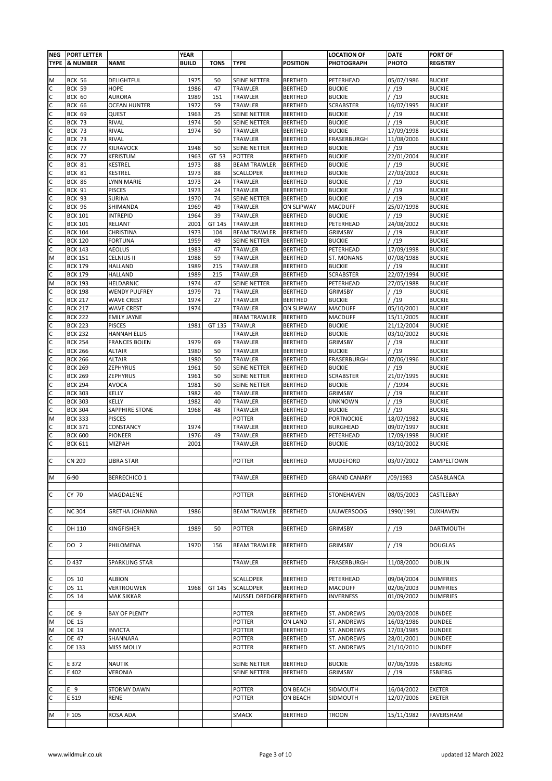| <b>NEG</b> | <b>PORT LETTER</b>               |                                      | <b>YEAR</b>  |             |                         |                                     | <b>LOCATION OF</b>                | <b>DATE</b>         | <b>PORT OF</b>                 |
|------------|----------------------------------|--------------------------------------|--------------|-------------|-------------------------|-------------------------------------|-----------------------------------|---------------------|--------------------------------|
|            | <b>TYPE &amp; NUMBER</b>         | <b>NAME</b>                          | <b>BUILD</b> | <b>TONS</b> | <b>TYPE</b>             | <b>POSITION</b>                     | <b>PHOTOGRAPH</b>                 | PHOTO               | <b>REGISTRY</b>                |
|            |                                  |                                      |              |             |                         |                                     |                                   |                     |                                |
| M          | <b>BCK 56</b>                    | DELIGHTFUL                           | 1975         | 50          | SEINE NETTER            | <b>BERTHED</b>                      | PETERHEAD                         | 05/07/1986          | <b>BUCKIE</b>                  |
| С<br>C     | <b>BCK 59</b>                    | HOPE                                 | 1986<br>1989 | 47          | TRAWLER<br>TRAWLER      | <b>BERTHED</b>                      | <b>BUCKIE</b>                     | / /19<br>/ /19      | <b>BUCKIE</b><br><b>BUCKIE</b> |
| C          | <b>BCK 60</b><br><b>BCK 66</b>   | <b>AURORA</b><br><b>OCEAN HUNTER</b> | 1972         | 151<br>59   | TRAWLER                 | <b>BERTHED</b><br><b>BERTHED</b>    | <b>BUCKIE</b><br><b>SCRABSTER</b> | 16/07/1995          | <b>BUCKIE</b>                  |
| C          | <b>BCK 69</b>                    | QUEST                                | 1963         | 25          | SEINE NETTER            | <b>BERTHED</b>                      | <b>BUCKIE</b>                     | / /19               | <b>BUCKIE</b>                  |
| С          | <b>BCK 73</b>                    | RIVAL                                | 1974         | 50          | SEINE NETTER            | <b>BERTHED</b>                      | <b>BUCKIE</b>                     | /19                 | <b>BUCKIE</b>                  |
| с          | <b>BCK 73</b>                    | RIVAL                                | 1974         | 50          | TRAWLER                 | <b>BERTHED</b>                      | <b>BUCKIE</b>                     | 17/09/1998          | <b>BUCKIE</b>                  |
| C          | <b>BCK 73</b>                    | RIVAL                                |              |             | TRAWLER                 | <b>BERTHED</b>                      | FRASERBURGH                       | 11/08/2006          | <b>BUCKIE</b>                  |
| C          | <b>BCK 77</b>                    | KILRAVOCK                            | 1948         | 50          | SEINE NETTER            | <b>BERTHED</b>                      | <b>BUCKIE</b>                     | / /19               | <b>BUCKIE</b>                  |
| C          | <b>BCK 77</b>                    | KERISTUM                             | 1963         | GT 53       | <b>POTTER</b>           | <b>BERTHED</b>                      | <b>BUCKIE</b>                     | 22/01/2004          | <b>BUCKIE</b>                  |
| C          | <b>BCK 81</b>                    | <b>KESTREL</b>                       | 1973         | 88          | <b>BEAM TRAWLER</b>     | <b>BERTHED</b>                      | <b>BUCKIE</b>                     | /19                 | <b>BUCKIE</b>                  |
| С          | <b>BCK 81</b>                    | KESTREL                              | 1973         | 88          | <b>SCALLOPER</b>        | <b>BERTHED</b>                      | <b>BUCKIE</b>                     | 27/03/2003          | <b>BUCKIE</b>                  |
| С          | <b>BCK 86</b>                    | <b>LYNN MARIE</b>                    | 1973         | 24          | TRAWLER                 | <b>BERTHED</b>                      | <b>BUCKIE</b>                     | / /19               | <b>BUCKIE</b>                  |
| C          | <b>BCK 91</b>                    | <b>PISCES</b>                        | 1973         | 24          | TRAWLER                 | <b>BERTHED</b>                      | <b>BUCKIE</b>                     | / /19               | <b>BUCKIE</b>                  |
| С<br>C     | <b>BCK 93</b>                    | <b>SURINA</b>                        | 1970<br>1969 | 74<br>49    | SEINE NETTER<br>TRAWLER | <b>BERTHED</b>                      | <b>BUCKIE</b><br><b>MACDUFF</b>   | / /19<br>25/07/1998 | <b>BUCKIE</b><br><b>BUCKIE</b> |
| с          | <b>BCK 96</b><br><b>BCK 101</b>  | SHIMANDA<br><b>INTREPID</b>          | 1964         | 39          | TRAWLER                 | <b>ON SLIPWAY</b><br><b>BERTHED</b> | <b>BUCKIE</b>                     | / /19               | <b>BUCKIE</b>                  |
| С          | <b>BCK 101</b>                   | RELIANT                              | 2001         | GT 145      | TRAWLER                 | <b>BERTHED</b>                      | PETERHEAD                         | 24/08/2002          | <b>BUCKIE</b>                  |
| с          | <b>BCK 104</b>                   | CHRISTINA                            | 1973         | 104         | <b>BEAM TRAWLER</b>     | <b>BERTHED</b>                      | GRIMSBY                           | / /19               | <b>BUCKIE</b>                  |
| C          | <b>BCK 120</b>                   | <b>FORTUNA</b>                       | 1959         | 49          | SEINE NETTER            | <b>BERTHED</b>                      | <b>BUCKIE</b>                     | /19                 | <b>BUCKIE</b>                  |
| C          | <b>BCK 143</b>                   | <b>AEOLUS</b>                        | 1983         | 47          | TRAWLER                 | <b>BERTHED</b>                      | PETERHEAD                         | 17/09/1998          | <b>BUCKIE</b>                  |
| M          | <b>BCK 151</b>                   | <b>CELNIUS II</b>                    | 1988         | 59          | TRAWLER                 | <b>BERTHED</b>                      | ST. MONANS                        | 07/08/1988          | <b>BUCKIE</b>                  |
| С          | <b>BCK 179</b>                   | <b>HALLAND</b>                       | 1989         | 215         | TRAWLER                 | <b>BERTHED</b>                      | <b>BUCKIE</b>                     | / /19               | <b>BUCKIE</b>                  |
| C          | <b>BCK 179</b>                   | HALLAND                              | 1989         | 215         | TRAWLER                 | <b>BERTHED</b>                      | <b>SCRABSTER</b>                  | 22/07/1994          | <b>BUCKIE</b>                  |
| M          | <b>BCK 193</b>                   | HELDARNIC                            | 1974         | 47          | SEINE NETTER            | <b>BERTHED</b>                      | PETERHEAD                         | 27/05/1988          | <b>BUCKIE</b>                  |
| с          | <b>BCK 198</b>                   | <b>WENDY PULFREY</b>                 | 1979         | 71          | TRAWLER                 | <b>BERTHED</b>                      | <b>GRIMSBY</b>                    | / /19               | <b>BUCKIE</b>                  |
| C          | <b>BCK 217</b>                   | <b>WAVE CREST</b>                    | 1974         | 27          | TRAWLER                 | <b>BERTHED</b>                      | <b>BUCKIE</b>                     | /19                 | <b>BUCKIE</b>                  |
| C          | <b>BCK 217</b>                   | <b>WAVE CREST</b>                    | 1974         |             | TRAWLER                 | <b>ON SLIPWAY</b>                   | <b>MACDUFF</b>                    | 05/10/2001          | <b>BUCKIE</b>                  |
| C          | <b>BCK 222</b>                   | <b>EMILY JAYNE</b>                   |              |             | <b>BEAM TRAWLER</b>     | <b>BERTHED</b>                      | <b>MACDUFF</b>                    | 15/11/2005          | <b>BUCKIE</b>                  |
| C          | <b>BCK 223</b>                   | <b>PISCES</b>                        | 1981         | GT 135      | TRAWLR                  | <b>BERTHED</b>                      | <b>BUCKIE</b>                     | 21/12/2004          | <b>BUCKIE</b>                  |
| С          | <b>BCK 232</b>                   | <b>HANNAH ELLIS</b>                  |              |             | TRAWLER                 | <b>BERTHED</b>                      | <b>BUCKIE</b>                     | 03/10/2002          | <b>BUCKIE</b>                  |
| C          | <b>BCK 254</b>                   | <b>FRANCES BOJEN</b>                 | 1979         | 69          | TRAWLER                 | <b>BERTHED</b>                      | <b>GRIMSBY</b>                    | / /19               | <b>BUCKIE</b>                  |
| C          | <b>BCK 266</b><br><b>BCK 266</b> | <b>ALTAIR</b><br><b>ALTAIR</b>       | 1980<br>1980 | 50<br>50    | TRAWLER<br>TRAWLER      | <b>BERTHED</b><br><b>BERTHED</b>    | <b>BUCKIE</b><br>FRASERBURGH      | /19<br>07/06/1996   | <b>BUCKIE</b><br><b>BUCKIE</b> |
| C          | <b>BCK 269</b>                   | ZEPHYRUS                             | 1961         | 50          | SEINE NETTER            | <b>BERTHED</b>                      | <b>BUCKIE</b>                     | /19                 | <b>BUCKIE</b>                  |
| C          | <b>BCK 269</b>                   | ZEPHYRUS                             | 1961         | 50          | <b>SEINE NETTER</b>     | <b>BERTHED</b>                      | <b>SCRABSTER</b>                  | 21/07/1995          | <b>BUCKIE</b>                  |
| С          | <b>BCK 294</b>                   | <b>AVOCA</b>                         | 1981         | 50          | <b>SEINE NETTER</b>     | <b>BERTHED</b>                      | <b>BUCKIE</b>                     | / /1994             | <b>BUCKIE</b>                  |
| С          | <b>BCK 303</b>                   | KELLY                                | 1982         | 40          | TRAWLER                 | <b>BERTHED</b>                      | <b>GRIMSBY</b>                    | / /19               | <b>BUCKIE</b>                  |
| C          | <b>BCK 303</b>                   | KELLY                                | 1982         | 40          | TRAWLER                 | <b>BERTHED</b>                      | <b>UNKNOWN</b>                    | / /19               | <b>BUCKIE</b>                  |
| C          | <b>BCK 304</b>                   | SAPPHIRE STONE                       | 1968         | 48          | TRAWLER                 | <b>BERTHED</b>                      | <b>BUCKIE</b>                     | / /19               | <b>BUCKIE</b>                  |
| М          | <b>BCK 333</b>                   | <b>PISCES</b>                        |              |             | <b>POTTER</b>           | <b>BERTHED</b>                      | <b>PORTNOCKIE</b>                 | 18/07/1982          | <b>BUCKIE</b>                  |
| С          | <b>BCK 371</b>                   | CONSTANCY                            | 1974         |             | TRAWLER                 | <b>BERTHED</b>                      | <b>BURGHEAD</b>                   | 09/07/1997          | <b>BUCKIE</b>                  |
| с          | <b>BCK 600</b>                   | PIONEER                              | 1976         | 49          | TRAWLER                 | <b>BERTHED</b>                      | PETERHEAD                         | 17/09/1998          | <b>BUCKIE</b>                  |
| С          | <b>BCK 611</b>                   | MIZPAH                               | 2001         |             | TRAWLER                 | <b>BERTHED</b>                      | <b>BUCKIE</b>                     | 03/10/2002          | <b>BUCKIE</b>                  |
|            |                                  |                                      |              |             |                         |                                     |                                   |                     |                                |
| C          | <b>CN 209</b>                    | <b>LIBRA STAR</b>                    |              |             | POTTER                  | <b>BERTHED</b>                      | <b>MUDEFORD</b>                   | 03/07/2002          | CAMPELTOWN                     |
|            |                                  |                                      |              |             |                         |                                     | <b>GRAND CANARY</b>               |                     |                                |
| М          | $6 - 90$                         | <b>BERRECHICO 1</b>                  |              |             | TRAWLER                 | <b>BERTHED</b>                      |                                   | /09/1983            | CASABLANCA                     |
| С          | CY 70                            | MAGDALENE                            |              |             | <b>POTTER</b>           | <b>BERTHED</b>                      | STONEHAVEN                        | 08/05/2003          | CASTLEBAY                      |
|            |                                  |                                      |              |             |                         |                                     |                                   |                     |                                |
| C          | <b>NC 304</b>                    | <b>GRETHA JOHANNA</b>                | 1986         |             | <b>BEAM TRAWLER</b>     | <b>BERTHED</b>                      | <b>LAUWERSOOG</b>                 | 1990/1991           | <b>CUXHAVEN</b>                |
|            |                                  |                                      |              |             |                         |                                     |                                   |                     |                                |
| C          | DH 110                           | KINGFISHER                           | 1989         | 50          | <b>POTTER</b>           | <b>BERTHED</b>                      | <b>GRIMSBY</b>                    | / /19               | DARTMOUTH                      |
|            |                                  |                                      |              |             |                         |                                     |                                   |                     |                                |
| с          | DO <sub>2</sub>                  | PHILOMENA                            | 1970         | 156         | <b>BEAM TRAWLER</b>     | <b>BERTHED</b>                      | <b>GRIMSBY</b>                    | / /19               | <b>DOUGLAS</b>                 |
|            |                                  |                                      |              |             |                         |                                     |                                   |                     |                                |
| С          | D 437                            | SPARKLING STAR                       |              |             | TRAWLER                 | <b>BERTHED</b>                      | <b>FRASERBURGH</b>                | 11/08/2000          | <b>DUBLIN</b>                  |
|            |                                  |                                      |              |             |                         |                                     |                                   |                     |                                |
| C          | DS 10                            | <b>ALBION</b>                        |              |             | <b>SCALLOPER</b>        | <b>BERTHED</b>                      | PETERHEAD                         | 09/04/2004          | <b>DUMFRIES</b>                |
| C          | DS 11                            | VERTROUWEN                           | 1968         | GT 145      | <b>SCALLOPER</b>        | <b>BERTHED</b>                      | <b>MACDUFF</b>                    | 02/06/2003          | <b>DUMFRIES</b>                |
| C          | DS 14                            | <b>MAK SIKKAR</b>                    |              |             | MUSSEL DREDGER BERTHED  |                                     | <b>INVERNESS</b>                  | 01/09/2002          | <b>DUMFRIES</b>                |
| Ċ          | DE 9                             | <b>BAY OF PLENTY</b>                 |              |             | POTTER                  | <b>BERTHED</b>                      | ST. ANDREWS                       | 20/03/2008          | <b>DUNDEE</b>                  |
| M          | <b>DE 15</b>                     |                                      |              |             | <b>POTTER</b>           | ON LAND                             | ST. ANDREWS                       | 16/03/1986          | <b>DUNDEE</b>                  |
| М          | DE 19                            | <b>INVICTA</b>                       |              |             | POTTER                  | <b>BERTHED</b>                      | ST. ANDREWS                       | 17/03/1985          | <b>DUNDEE</b>                  |
| С          | DE 47                            | SHANNARA                             |              |             | <b>POTTER</b>           | <b>BERTHED</b>                      | ST. ANDREWS                       | 28/01/2001          | <b>DUNDEE</b>                  |
| C          | <b>DE 133</b>                    | <b>MISS MOLLY</b>                    |              |             | <b>POTTER</b>           | <b>BERTHED</b>                      | ST. ANDREWS                       | 21/10/2010          | <b>DUNDEE</b>                  |
|            |                                  |                                      |              |             |                         |                                     |                                   |                     |                                |
| с          | E 372                            | <b>NAUTIK</b>                        |              |             | SEINE NETTER            | <b>BERTHED</b>                      | <b>BUCKIE</b>                     | 07/06/1996          | ESBJERG                        |
| C          | E 402                            | VERONIA                              |              |             | SEINE NETTER            | <b>BERTHED</b>                      | <b>GRIMSBY</b>                    | / /19               | ESBJERG                        |
|            |                                  |                                      |              |             |                         |                                     |                                   |                     |                                |
| С          | E 9                              | <b>STORMY DAWN</b>                   |              |             | <b>POTTER</b>           | ON BEACH                            | SIDMOUTH                          | 16/04/2002          | EXETER                         |
| C          | E 519                            | <b>RENE</b>                          |              |             | POTTER                  | ON BEACH                            | SIDMOUTH                          | 12/07/2006          | <b>EXETER</b>                  |
|            |                                  |                                      |              |             |                         |                                     |                                   |                     |                                |
| M          | F 105                            | ROSA ADA                             |              |             | <b>SMACK</b>            | <b>BERTHED</b>                      | <b>TROON</b>                      | 15/11/1982          | FAVERSHAM                      |
|            |                                  |                                      |              |             |                         |                                     |                                   |                     |                                |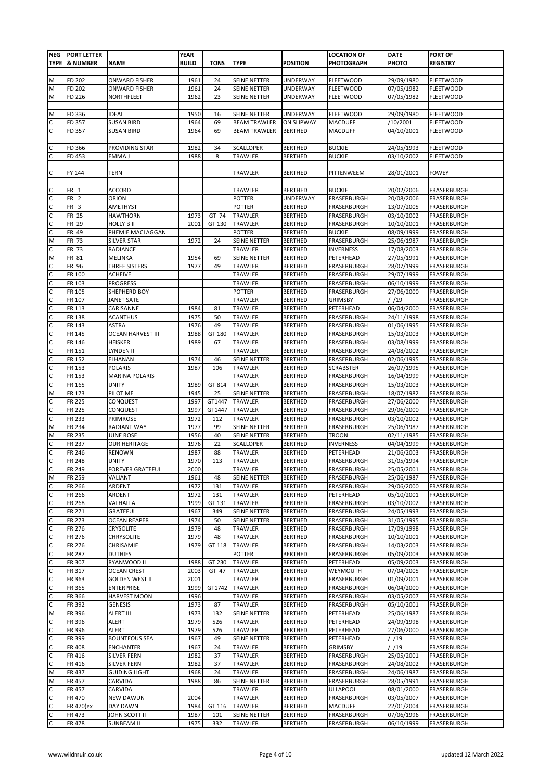| <b>NEG</b>          | <b>PORT LETTER</b>  |                                         | <b>YEAR</b>  |             |                         |                                  | <b>LOCATION OF</b>                | <b>DATE</b>              | <b>PORT OF</b>             |
|---------------------|---------------------|-----------------------------------------|--------------|-------------|-------------------------|----------------------------------|-----------------------------------|--------------------------|----------------------------|
| <b>TYPE</b>         | <b>&amp; NUMBER</b> | <b>NAME</b>                             | <b>BUILD</b> | <b>TONS</b> | <b>TYPE</b>             | <b>POSITION</b>                  | <b>PHOTOGRAPH</b>                 | PHOTO                    | <b>REGISTRY</b>            |
|                     |                     |                                         |              |             |                         |                                  |                                   |                          |                            |
| M                   | FD 202              | <b>ONWARD FISHER</b>                    | 1961         | 24          | SEINE NETTER            | UNDERWAY                         | <b>FLEETWOOD</b>                  | 29/09/1980               | <b>FLEETWOOD</b>           |
| M                   | FD 202              | ONWARD FISHER                           | 1961         | 24          | SEINE NETTER            | <b>UNDERWAY</b>                  | <b>FLEETWOOD</b>                  | 07/05/1982               | <b>FLEETWOOD</b>           |
| M                   | FD 226              | NORTHFLEET                              | 1962         | 23          | SEINE NETTER            | UNDERWAY                         | <b>FLEETWOOD</b>                  | 07/05/1982               | <b>FLEETWOOD</b>           |
| M                   | FD 336              | <b>IDEAL</b>                            | 1950         | 16          | SEINE NETTER            | <b>UNDERWAY</b>                  | <b>FLEETWOOD</b>                  | 29/09/1980               | <b>FLEETWOOD</b>           |
| C                   | FD 357              | <b>SUSAN BIRD</b>                       | 1964         | 69          | <b>BEAM TRAWLER</b>     | <b>ON SLIPWAY</b>                | <b>MACDUFF</b>                    | /10/2001                 | <b>FLEETWOOD</b>           |
| C                   | FD 357              | <b>SUSAN BIRD</b>                       | 1964         | 69          | <b>BEAM TRAWLER</b>     | <b>BERTHED</b>                   | <b>MACDUFF</b>                    | 04/10/2001               | <b>FLEETWOOD</b>           |
|                     |                     |                                         |              |             |                         |                                  |                                   |                          |                            |
|                     | FD 366              | PROVIDING STAR                          | 1982         | 34          | <b>SCALLOPER</b>        | <b>BERTHED</b>                   | <b>BUCKIE</b>                     | 24/05/1993               | <b>FLEETWOOD</b>           |
| C                   | FD 453              | EMMA J                                  | 1988         | 8           | TRAWLER                 | <b>BERTHED</b>                   | <b>BUCKIE</b>                     | 03/10/2002               | <b>FLEETWOOD</b>           |
|                     |                     |                                         |              |             |                         |                                  |                                   |                          |                            |
| C                   | FY 144              | TERN                                    |              |             | TRAWLER                 | <b>BERTHED</b>                   | PITTENWEEM                        | 28/01/2001               | <b>FOWEY</b>               |
|                     |                     |                                         |              |             |                         |                                  |                                   |                          |                            |
| С                   | FR 1<br>FR 2        | ACCORD<br>ORION                         |              |             | TRAWLER<br>POTTER       | <b>BERTHED</b><br>UNDERWAY       | <b>BUCKIE</b><br>FRASERBURGH      | 20/02/2006<br>20/08/2006 | FRASERBURGH<br>FRASERBURGH |
| С<br>C              | FR 3                | AMETHYST                                |              |             | POTTER                  | <b>BERTHED</b>                   | FRASERBURGH                       | 13/07/2005               | FRASERBURGH                |
| C                   | <b>FR 25</b>        | <b>HAWTHORN</b>                         | 1973         | GT 74       | TRAWLER                 | <b>BERTHED</b>                   | FRASERBURGH                       | 03/10/2002               | FRASERBURGH                |
| C                   | FR 29               | <b>HOLLY B II</b>                       | 2001         | GT 130      | TRAWLER                 | <b>BERTHED</b>                   | FRASERBURGH                       | 10/10/2001               | FRASERBURGH                |
| C                   | FR 49               | PHEMIE MACLAGGAN                        |              |             | <b>POTTER</b>           | <b>BERTHED</b>                   | <b>BUCKIE</b>                     | 08/09/1999               | FRASERBURGH                |
| M                   | FR 73               | <b>SILVER STAR</b>                      | 1972         | 24          | SEINE NETTER            | <b>BERTHED</b>                   | FRASERBURGH                       | 25/06/1987               | FRASERBURGH                |
| C                   | FR 73               | RADIANCE                                |              |             | TRAWLER                 | <b>BERTHED</b>                   | <b>INVERNESS</b>                  | 17/08/2003               | FRASERBURGH                |
| M                   | FR 81               | MELINKA                                 | 1954         | 69          | SEINE NETTER            | <b>BERTHED</b>                   | PETERHEAD                         | 27/05/1991               | FRASERBURGH                |
| C                   | FR 96               | THREE SISTERS                           | 1977         | 49          | TRAWLER                 | <b>BERTHED</b>                   | FRASERBURGH                       | 28/07/1999               | FRASERBURGH                |
| C                   | FR 100              | <b>ACHEIVE</b>                          |              |             | <b>TRAWLER</b>          | <b>BERTHED</b>                   | FRASERBURGH                       | 29/07/1999               | FRASERBURGH                |
| C                   | FR 103              | <b>PROGRESS</b>                         |              |             | TRAWLER<br>POTTER       | <b>BERTHED</b><br><b>BERTHED</b> | FRASERBURGH<br>FRASERBURGH        | 06/10/1999               | FRASERBURGH                |
| C<br>$\mathsf c$    | FR 105<br>FR 107    | SHEPHERD BOY<br>JANET SATE              |              |             | TRAWLER                 | <b>BERTHED</b>                   | <b>GRIMSBY</b>                    | 27/06/2000<br>/ /19      | FRASERBURGH<br>FRASERBURGH |
| C                   | FR 113              | CARISANNE                               | 1984         | 81          | TRAWLER                 | <b>BERTHED</b>                   | PETERHEAD                         | 06/04/2000               | FRASERBURGH                |
| $\mathsf{C}$        | FR 138              | <b>ACANTHUS</b>                         | 1975         | 50          | TRAWLER                 | <b>BERTHED</b>                   | FRASERBURGH                       | 24/11/1998               | FRASERBURGH                |
| C                   | FR 143              | ASTRA                                   | 1976         | 49          | TRAWLER                 | <b>BERTHED</b>                   | FRASERBURGH                       | 01/06/1995               | FRASERBURGH                |
| $\mathsf{C}$        | FR 145              | <b>OCEAN HARVEST III</b>                | 1988         | GT 180      | TRAWLER                 | <b>BERTHED</b>                   | FRASERBURGH                       | 15/03/2003               | FRASERBURGH                |
| C                   | FR 146              | <b>HEISKER</b>                          | 1989         | 67          | TRAWLER                 | <b>BERTHED</b>                   | FRASERBURGH                       | 03/08/1999               | FRASERBURGH                |
| $\mathsf{C}$        | FR 151              | LYNDEN II                               |              |             | TRAWLER                 | <b>BERTHED</b>                   | FRASERBURGH                       | 24/08/2002               | FRASERBURGH                |
| C                   | FR 152              | ELHANAN                                 | 1974         | 46          | SEINE NETTER            | <b>BERTHED</b>                   | FRASERBURGH                       | 02/06/1995               | FRASERBURGH                |
| $\mathsf{C}$        | FR 153              | <b>POLARIS</b>                          | 1987         | 106         | TRAWLER                 | <b>BERTHED</b>                   | <b>SCRABSTER</b>                  | 26/07/1995               | FRASERBURGH                |
| C<br>C              | FR 153<br>FR 165    | <b>MARINA POLARIS</b><br><b>UNITY</b>   | 1989         | GT 814      | TRAWLER<br>TRAWLER      | <b>BERTHED</b><br><b>BERTHED</b> | FRASERBURGH<br>FRASERBURGH        | 16/04/1999<br>15/03/2003 | FRASERBURGH<br>FRASERBURGH |
| M                   | FR 173              | PILOT ME                                | 1945         | 25          | SEINE NETTER            | <b>BERTHED</b>                   | FRASERBURGH                       | 18/07/1982               | FRASERBURGH                |
| C                   | FR 225              | CONQUEST                                | 1997         | GT1447      | TRAWLER                 | <b>BERTHED</b>                   | FRASERBURGH                       | 27/06/2000               | FRASERBURGH                |
| C                   | FR 225              | CONQUEST                                | 1997         | GT1447      | TRAWLER                 | <b>BERTHED</b>                   | FRASERBURGH                       | 29/06/2000               | FRASERBURGH                |
| $\mathsf{C}$        | FR 233              | PRIMROSE                                | 1972         | 112         | TRAWLER                 | <b>BERTHED</b>                   | FRASERBURGH                       | 03/10/2002               | FRASERBURGH                |
| M                   | FR 234              | <b>RADIANT WAY</b>                      | 1977         | 99          | <b>SEINE NETTER</b>     | <b>BERTHED</b>                   | FRASERBURGH                       | 25/06/1987               | FRASERBURGH                |
| M                   | FR 235              | <b>JUNE ROSE</b>                        | 1956         | 40          | <b>SEINE NETTER</b>     | <b>BERTHED</b>                   | <b>TROON</b>                      | 02/11/1985               | FRASERBURGH                |
| с                   | FR 237              | <b>OUR HERITAGE</b>                     | 1976         | 22          | SCALLOPER               | <b>BERTHED</b>                   | <b>INVERNESS</b>                  | 04/04/1999               | FRASERBURGH                |
| $\frac{c}{c}$       | FR 246              | <b>RENOWN</b>                           | 1987         | 88          | TRAWLER                 | <b>BERTHED</b>                   | PETERHEAD                         | 21/06/2003               | FRASERBURGH                |
|                     | FR 248<br>FR 249    | <b>UNITY</b><br><b>FOREVER GRATEFUL</b> | 1970<br>2000 | 113         | TRAWLER<br>TRAWLER      | <b>BERTHED</b><br><b>BERTHED</b> | <b>FRASERBURGH</b><br>FRASERBURGH | 31/05/1994<br>25/05/2001 | FRASERBURGH<br>FRASERBURGH |
| C<br>M              | FR 259              | VALIANT                                 | 1961         | 48          | <b>SEINE NETTER</b>     | <b>BERTHED</b>                   | FRASERBURGH                       | 25/06/1987               | FRASERBURGH                |
| C                   | FR 266              | ARDENT                                  | 1972         | 131         | TRAWLER                 | <b>BERTHED</b>                   | FRASERBURGH                       | 29/06/2000               | FRASERBURGH                |
| C                   | FR 266              | ARDENT                                  | 1972         | 131         | TRAWLER                 | <b>BERTHED</b>                   | PETERHEAD                         | 05/10/2001               | FRASERBURGH                |
| C                   | FR 268              | VALHALLA                                | 1999         | GT 131      | TRAWLER                 | <b>BERTHED</b>                   | FRASERBURGH                       | 03/10/2002               | FRASERBURGH                |
| $\mathsf c$         | FR 271              | GRATEFUL                                | 1967         | 349         | SEINE NETTER            | <b>BERTHED</b>                   | FRASERBURGH                       | 24/05/1993               | FRASERBURGH                |
| C                   | FR 273              | <b>OCEAN REAPER</b>                     | 1974         | 50          | SEINE NETTER            | <b>BERTHED</b>                   | FRASERBURGH                       | 31/05/1995               | FRASERBURGH                |
| $\mathsf{C}$        | FR 276              | <b>CRYSOLITE</b>                        | 1979         | 48          | TRAWLER                 | <b>BERTHED</b>                   | FRASERBURGH                       | 17/09/1998               | FRASERBURGH                |
| C<br>$\overline{c}$ | FR 276              | CHRYSOLITE                              | 1979         | 48          | TRAWLER                 | <b>BERTHED</b>                   | FRASERBURGH                       | 10/10/2001               | FRASERBURGH                |
| C                   | FR 276<br>FR 287    | CHRISAMIE<br><b>DUTHIES</b>             | 1979         | GT 118      | TRAWLER<br>POTTER       | <b>BERTHED</b><br><b>BERTHED</b> | FRASERBURGH<br>FRASERBURGH        | 14/03/2003<br>05/09/2003 | FRASERBURGH<br>FRASERBURGH |
| $\mathsf{C}$        | FR 307              | RYANWOOD II                             | 1988         | GT 230      | TRAWLER                 | <b>BERTHED</b>                   | PETERHEAD                         | 05/09/2003               | FRASERBURGH                |
| C                   | FR 317              | <b>OCEAN CREST</b>                      | 2003         | GT 47       | <b>TRAWLER</b>          | <b>BERTHED</b>                   | WEYMOUTH                          | 07/04/2005               | FRASERBURGH                |
| $\mathsf{C}$        | FR 363              | <b>GOLDEN WEST II</b>                   | 2001         |             | TRAWLER                 | <b>BERTHED</b>                   | FRASERBURGH                       | 01/09/2001               | FRASERBURGH                |
| C                   | FR 365              | ENTERPRISE                              | 1999         | GT1742      | TRAWLER                 | <b>BERTHED</b>                   | FRASERBURGH                       | 06/04/2000               | FRASERBURGH                |
| $\mathsf c$         | FR 366              | HARVEST MOON                            | 1996         |             | TRAWLER                 | <b>BERTHED</b>                   | FRASERBURGH                       | 03/05/2007               | FRASERBURGH                |
| C                   | FR 392              | <b>GENESIS</b>                          | 1973         | 87          | TRAWLER                 | <b>BERTHED</b>                   | FRASERBURGH                       | 05/10/2001               | FRASERBURGH                |
| M                   | FR 396              | <b>ALERT III</b>                        | 1973         | 132         | SEINE NETTER            | <b>BERTHED</b>                   | PETERHEAD                         | 25/06/1987               | FRASERBURGH                |
| C                   | FR 396              | ALERT                                   | 1979         | 526         | TRAWLER                 | <b>BERTHED</b>                   | PETERHEAD                         | 24/09/1998               | FRASERBURGH                |
| $\mathsf{C}$<br>C   | FR 396<br>FR 399    | ALERT<br><b>BOUNTEOUS SEA</b>           | 1979<br>1967 | 526<br>49   | TRAWLER<br>SEINE NETTER | <b>BERTHED</b><br><b>BERTHED</b> | PETERHEAD<br>PETERHEAD            | 27/06/2000<br>/ /19      | FRASERBURGH<br>FRASERBURGH |
| C                   | FR 408              | <b>ENCHANTER</b>                        | 1967         | 24          | TRAWLER                 | <b>BERTHED</b>                   | <b>GRIMSBY</b>                    | / /19                    | FRASERBURGH                |
| С                   | FR 416              | SILVER FERN                             | 1982         | 37          | TRAWLER                 | <b>BERTHED</b>                   | FRASERBURGH                       | 25/05/2001               | FRASERBURGH                |
| C                   | FR 416              | SILVER FERN                             | 1982         | 37          | TRAWLER                 | <b>BERTHED</b>                   | FRASERBURGH                       | 24/08/2002               | FRASERBURGH                |
| M                   | FR 437              | <b>GUIDING LIGHT</b>                    | 1968         | 24          | TRAWLER                 | <b>BERTHED</b>                   | FRASERBURGH                       | 24/06/1987               | FRASERBURGH                |
| M                   | FR 457              | CARVIDA                                 | 1988         | 86          | SEINE NETTER            | <b>BERTHED</b>                   | FRASERBURGH                       | 28/05/1991               | FRASERBURGH                |
| C                   | FR 457              | CARVIDA                                 |              |             | TRAWLER                 | <b>BERTHED</b>                   | ULLAPOOL                          | 08/01/2000               | FRASERBURGH                |
| C                   | FR 470              | <b>NEW DAWUN</b>                        | 2004         |             | TRAWLER                 | <b>BERTHED</b>                   | FRASERBURGH                       | 03/05/2007               | FRASERBURGH                |
| C                   | FR 470(ex           | DAY DAWN                                | 1984<br>1987 | GT 116      | TRAWLER<br>SEINE NETTER | <b>BERTHED</b>                   | MACDUFF                           | 22/01/2004               | FRASERBURGH                |
| C<br>$\mathsf{C}$   | FR 473<br>FR 478    | JOHN SCOTT II<br>SUNBEAM II             | 1975         | 101<br>332  | TRAWLER                 | <b>BERTHED</b><br><b>BERTHED</b> | FRASERBURGH<br>FRASERBURGH        | 07/06/1996<br>06/10/1999 | FRASERBURGH<br>FRASERBURGH |
|                     |                     |                                         |              |             |                         |                                  |                                   |                          |                            |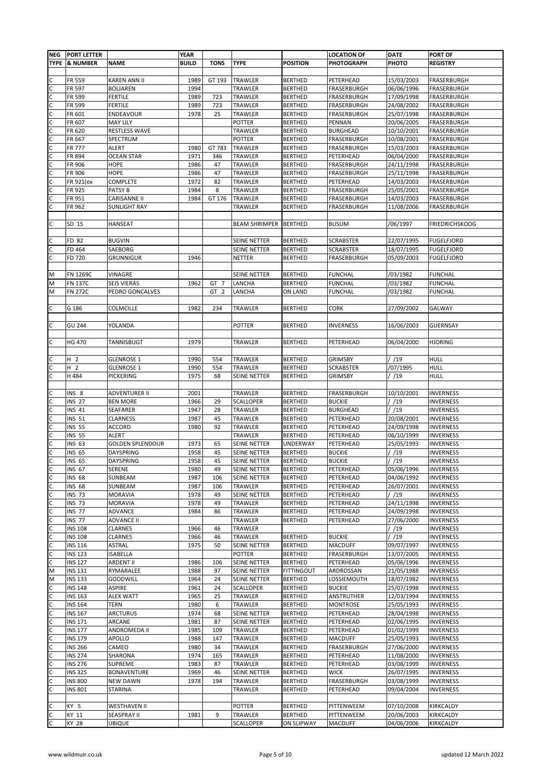|   | NEG   PORT LETTER |                              | <b>YEAR</b>  |                 |                                |                                     | <b>LOCATION OF</b>    | <b>DATE</b>              | <b>PORT OF</b>         |
|---|-------------------|------------------------------|--------------|-----------------|--------------------------------|-------------------------------------|-----------------------|--------------------------|------------------------|
|   | TYPE & NUMBER     | <b>NAME</b>                  | <b>BUILD</b> | <b>TONS</b>     | <b>TYPE</b>                    | <b>POSITION</b>                     | <b>PHOTOGRAPH</b>     | PHOTO                    | <b>REGISTRY</b>        |
|   |                   |                              |              |                 |                                |                                     |                       |                          |                        |
|   |                   |                              |              |                 |                                |                                     |                       |                          |                        |
| С | FR 559            | <b>KAREN ANN II</b>          | 1989         | GT 193          | TRAWLER                        | <b>BERTHED</b>                      | PETERHEAD             | 15/03/2003               | FRASERBURGH            |
| С | FR 597            | <b>BOLJAREN</b>              | 1994         |                 | TRAWLER                        | <b>BERTHED</b>                      | FRASERBURGH           | 06/06/1996               | FRASERBURGH            |
| C | FR 599            | <b>FERTILE</b>               | 1989         | 723             | TRAWLER                        | <b>BERTHED</b>                      | FRASERBURGH           | 17/09/1998               | FRASERBURGH            |
| C | FR 599            | <b>FERTILE</b>               | 1989         | 723             | TRAWLER                        | <b>BERTHED</b>                      | FRASERBURGH           | 24/08/2002               | FRASERBURGH            |
| C | FR 601            | ENDEAVOUR                    | 1978         | 25              | TRAWLER                        | <b>BERTHED</b>                      | FRASERBURGH           | 25/07/1998               | FRASERBURGH            |
| C | FR 607            | <b>MAY LILY</b>              |              |                 | POTTER                         | <b>BERTHED</b>                      | PENNAN                | 20/06/2005               | FRASERBURGH            |
| C | FR 620            | RESTLESS WAVE                |              |                 | TRAWLER                        | <b>BERTHED</b>                      | <b>BURGHEAD</b>       | 10/10/2001               | FRASERBURGH            |
| C | FR 667            | SPECTRUM                     |              |                 | POTTER                         | <b>BERTHED</b>                      | FRASERBURGH           | 10/08/2001               | FRASERBURGH            |
| C | <b>FR 777</b>     | ALERT                        | 1980         | GT 783          | TRAWLER                        | <b>BERTHED</b>                      | FRASERBURGH           | 15/03/2003               | FRASERBURGH            |
| с | FR 894            | <b>OCEAN STAR</b>            | 1971         | 346             | TRAWLER                        | <b>BERTHED</b>                      | PETERHEAD             | 06/04/2000               | FRASERBURGH            |
| C | FR 906            | <b>HOPE</b>                  | 1986         | 47              | TRAWLER                        | <b>BERTHED</b>                      | FRASERBURGH           | 24/11/1998               | FRASERBURGH            |
| C |                   | HOPE                         | 1986         |                 | TRAWLER                        | <b>BERTHED</b>                      | FRASERBURGH           | 25/11/1998               |                        |
|   | FR 906            |                              |              | 47              |                                |                                     |                       |                          | FRASERBURGH            |
| C | FR 921(ex         | <b>COMPLETE</b>              | 1972         | 82              | TRAWLER                        | <b>BERTHED</b>                      | PETERHEAD             | 14/03/2003               | FRASERBURGH            |
| C | FR 925            | PATSY B                      | 1984         | 8               | TRAWLER                        | <b>BERTHED</b>                      | FRASERBURGH           | 25/05/2001               | FRASERBURGH            |
| С | FR 951            | CARISANNE II                 | 1984         | GT 176          | TRAWLER                        | <b>BERTHED</b>                      | FRASERBURGH           | 14/03/2003               | FRASERBURGH            |
| C | FR 962            | <b>SUNLIGHT RAY</b>          |              |                 | TRAWLER                        | BERTHED                             | FRASERBURGH           | 11/08/2006               | FRASERBURGH            |
|   |                   |                              |              |                 |                                |                                     |                       |                          |                        |
| C | SD 15             | HANSEAT                      |              |                 | <b>BEAM SHRIMPER   BERTHED</b> |                                     | <b>BUSUM</b>          | /06/1997                 | <b>FRIEDRICHSKOOG</b>  |
|   |                   |                              |              |                 |                                |                                     |                       |                          |                        |
| с | FD 82             | <b>BUGVIN</b>                |              |                 | SEINE NETTER                   | <b>BERTHED</b>                      | <b>SCRABSTER</b>      | 22/07/1995               | <b>FUGELFJORD</b>      |
| с | FD 464            | SAEBORG                      |              |                 | <b>SEINE NETTER</b>            | <b>BERTHED</b>                      | <b>SCRABSTER</b>      | 18/07/1995               | <b>FUGELFJORD</b>      |
| С | FD 720            | GRUNNIGUR                    | 1946         |                 | NETTER                         | <b>BERTHED</b>                      | FRASERBURGH           | 05/09/2003               | <b>FUGELFJORD</b>      |
|   |                   |                              |              |                 |                                |                                     |                       |                          |                        |
|   |                   |                              |              |                 |                                |                                     |                       |                          |                        |
| M | FN 1269C          | VINAGRE                      |              |                 | SEINE NETTER                   | <b>BERTHED</b>                      | <b>FUNCHAL</b>        | /03/1982                 | <b>FUNCHAL</b>         |
| M | FN 137C           | <b>SEIS VIERAS</b>           | 1962         | GT 7            | LANCHA                         | <b>BERTHED</b>                      | <b>FUNCHAL</b>        | /03/1982                 | <b>FUNCHAL</b>         |
| M | <b>FN 272C</b>    | PEDRO GONCALVES              |              | GT <sub>2</sub> | LANCHA                         | ON LAND                             | <b>FUNCHAL</b>        | /03/1982                 | <b>FUNCHAL</b>         |
|   |                   |                              |              |                 |                                |                                     |                       |                          |                        |
| C | G 186             | COLMCILLE                    | 1982         | 234             | TRAWLER                        | <b>BERTHED</b>                      | CORK                  | 27/09/2002               | GALWAY                 |
|   |                   |                              |              |                 |                                |                                     |                       |                          |                        |
| C | <b>GU 244</b>     | YOLANDA                      |              |                 | <b>POTTER</b>                  | <b>BERTHED</b>                      | <b>INVERNESS</b>      | 16/06/2003               | <b>GUERNSAY</b>        |
|   |                   |                              |              |                 |                                |                                     |                       |                          |                        |
| C | <b>HG 470</b>     | TANNISBUGT                   | 1979         |                 | TRAWLER                        | <b>BERTHED</b>                      | PETERHEAD             | 06/04/2000               | <b>HJORING</b>         |
|   |                   |                              |              |                 |                                |                                     |                       |                          |                        |
| С | H <sub>2</sub>    | <b>GLENROSE 1</b>            | 1990         | 554             | TRAWLER                        | <b>BERTHED</b>                      | <b>GRIMSBY</b>        | / /19                    | <b>HULL</b>            |
| C | H 2               | <b>GLENROSE 1</b>            | 1990         | 554             | TRAWLER                        | <b>BERTHED</b>                      | <b>SCRABSTER</b>      | /07/1995                 | <b>HULL</b>            |
|   |                   |                              |              |                 |                                |                                     |                       |                          |                        |
| C | H 484             | PICKERING                    | 1975         | 68              | SEINE NETTER                   | <b>BERTHED</b>                      | <b>GRIMSBY</b>        | / /19                    | HULL                   |
|   |                   |                              |              |                 |                                |                                     |                       |                          |                        |
|   | INS 8             | ADVENTURER II                | 2001         |                 | TRAWLER                        | <b>BERTHED</b>                      | FRASERBURGH           | 10/10/2001               | <b>INVERNESS</b>       |
| C | <b>INS 27</b>     | <b>BEN MORE</b>              | 1966         | 29              | SCALLOPER                      | <b>BERTHED</b>                      | <b>BUCKIE</b>         | / /19                    | <b>INVERNESS</b>       |
| С | <b>INS 41</b>     | SEAFARER                     | 1947         | 28              | TRAWLER                        | <b>BERTHED</b>                      | <b>BURGHEAD</b>       | /19                      | <b>INVERNESS</b>       |
| C | <b>INS 51</b>     | <b>CLARNESS</b>              | 1987         | 45              | TRAWLER                        | <b>BERTHED</b>                      | PETERHEAD             | 20/08/2001               | <b>INVERNESS</b>       |
| C | <b>INS 55</b>     | ACCORD                       | 1980         | 92              | TRAWLER                        | <b>BERTHED</b>                      | PETERHEAD             | 24/09/1998               | <b>INVERNESS</b>       |
| C | <b>INS 55</b>     | ALERT                        |              |                 | TRAWLER                        | <b>BERTHED</b>                      | PETERHEAD             | 06/10/1999               | <b>INVERNESS</b>       |
| С | INS 63            | <b>GOLDEN SPLENDOUR</b>      | 1973         | 65              | SEINE NETTER                   | <b>UNDERWAY</b>                     | PETERHEAD             | 25/05/1993               | <b>INVERNESS</b>       |
| С | <b>INS 65</b>     | DAYSPRING                    | 1958         | 45              | SEINE NETTER                   | <b>BERTHED</b>                      | <b>BUCKIE</b>         | / /19                    | <b>INVERNESS</b>       |
| C | <b>INS 65</b>     | DAYSPRING                    | 1958         | 45              | SEINE NETTER                   | <b>BERTHED</b>                      | <b>BUCKIE</b>         | /19                      | <b>INVERNESS</b>       |
| с | <b>INS 67</b>     | SERENE                       | 1980         | 49              | SEINE NETTER                   | <b>BERTHED</b>                      | PETERHEAD             | 05/06/1996               | <b>INVERNESS</b>       |
| С | <b>INS 68</b>     | SUNBEAM                      | 1987         | 106             | SEINE NETTER                   | <b>BERTHED</b>                      | PETERHEAD             | 04/06/1992               | <b>INVERNESS</b>       |
| С | <b>INS 68</b>     | SUNBEAM                      | 1987         | 106             | TRAWLER                        | <b>BERTHED</b>                      | PETERHEAD             | 26/07/2001               | <b>INVERNESS</b>       |
| С | <b>INS 73</b>     | <b>MORAVIA</b>               | 1978         | 49              | SEINE NETTER                   | <b>BERTHED</b>                      | PETERHEAD             | / /19                    | <b>INVERNESS</b>       |
| C | <b>INS 73</b>     | <b>MORAVIA</b>               | 1978         | 49              | TRAWLER                        | <b>BERTHED</b>                      | PETERHEAD             | 24/11/1998               | <b>INVERNESS</b>       |
|   |                   |                              |              |                 |                                |                                     |                       |                          |                        |
| С | <b>INS 77</b>     | ADVANCE                      | 1984         | 86              | TRAWLER                        | <b>BERTHED</b>                      | PETERHEAD             | 24/09/1998               | <b>INVERNESS</b>       |
| C | <b>INS 77</b>     | <b>ADVANCE II</b>            |              |                 | TRAWLER                        | <b>BERTHED</b>                      | PETERHEAD             | 27/06/2000               | <b>INVERNESS</b>       |
| C | <b>INS 108</b>    | <b>CLARNES</b>               | 1966         | 46              | TRAWLER                        |                                     |                       | / /19                    | <b>INVERNESS</b>       |
| C | <b>INS 108</b>    | <b>CLARNES</b>               | 1966         | 46              | TRAWLER                        | <b>BERTHED</b>                      | <b>BUCKIE</b>         | /19                      | <b>INVERNESS</b>       |
| C | <b>INS 116</b>    | <b>ASTRAL</b>                | 1975         | 50              | SEINE NETTER                   | <b>BERTHED</b>                      | <b>MACDUFF</b>        | 09/07/1997               | <b>INVERNESS</b>       |
| C | <b>INS 123</b>    | <b>ISABELLA</b>              |              |                 | <b>POTTER</b>                  | <b>BERTHED</b>                      | FRASERBURGH           | 13/07/2005               | <b>INVERNESS</b>       |
| C | <b>INS 127</b>    | <b>ARDENT II</b>             | 1986         | 106             | SEINE NETTER                   | <b>BERTHED</b>                      | PETERHEAD             | 05/06/1996               | <b>INVERNESS</b>       |
| М | <b>INS 131</b>    | RYMARALEE                    | 1988         | 97              | SEINE NETTER                   | <b>FITTINGOUT</b>                   | ARDROSSAN             | 21/05/1988               | <b>INVERNESS</b>       |
| М | <b>INS 133</b>    | <b>GOODWILL</b>              | 1964         | 24              | SEINE NETTER                   | <b>BERTHED</b>                      | LOSSIEMOUTH           | 18/07/1982               | <b>INVERNESS</b>       |
| C | <b>INS 148</b>    | <b>ASPIRE</b>                | 1961         | 24              | SCALLOPER                      | <b>BERTHED</b>                      | <b>BUCKIE</b>         | 25/07/1998               | <b>INVERNESS</b>       |
| C | <b>INS 163</b>    | <b>ALEX WATT</b>             | 1965         | 25              | TRAWLER                        | <b>BERTHED</b>                      | ANSTRUTHER            | 12/03/1994               | <b>INVERNESS</b>       |
| C | <b>INS 164</b>    | <b>TERN</b>                  | 1980         | 6               | TRAWLER                        | <b>BERTHED</b>                      | <b>MONTROSE</b>       | 25/05/1993               | <b>INVERNESS</b>       |
| C | <b>INS 167</b>    | ARCTURUS                     | 1974         | 68              | SEINE NETTER                   | <b>BERTHED</b>                      | PETERHEAD             | 28/04/1998               | <b>INVERNESS</b>       |
| C | INS 171           | ARCANE                       | 1981         | 87              | SEINE NETTER                   | <b>BERTHED</b>                      | PETERHEAD             | 02/06/1995               | <b>INVERNESS</b>       |
| C | <b>INS 177</b>    | ANDROMEDA II                 | 1985         | 109             | TRAWLER                        | <b>BERTHED</b>                      | PETERHEAD             | 01/02/1999               | <b>INVERNESS</b>       |
| C |                   |                              |              |                 |                                |                                     |                       |                          |                        |
|   | INS 179           | APOLLO                       | 1988         | 147             | TRAWLER                        | <b>BERTHED</b>                      | <b>MACDUFF</b>        | 25/05/1993               | <b>INVERNESS</b>       |
| C | <b>INS 266</b>    | CAMEO                        | 1980         | 34              | TRAWLER                        | <b>BERTHED</b>                      | FRASERBURGH           | 27/06/2000               | <b>INVERNESS</b>       |
| С | <b>INS 274</b>    | SHARONA                      | 1974         | 165             | TRAWLER                        | <b>BERTHED</b>                      | PETERHEAD             | 11/08/2000               | INVERNESS              |
| C | <b>INS 276</b>    | SUPREME                      | 1983         | 87              | TRAWLER                        | <b>BERTHED</b>                      | PETERHEAD             | 03/08/1999               | <b>INVERNESS</b>       |
| С | <b>INS 325</b>    | BONAVENTURE                  | 1969         | 46              | SEINE NETTER                   | <b>BERTHED</b>                      | <b>WICK</b>           | 26/07/1995               | INVERNESS              |
| С | <b>INS 800</b>    | <b>NEW DAWN</b>              | 1978         | 194             | TRAWLER                        | <b>BERTHED</b>                      | FRASERBURGH           | 03/08/1999               | <b>INVERNESS</b>       |
| C | <b>INS 801</b>    | <b>STARINA</b>               |              |                 | TRAWLER                        | <b>BERTHED</b>                      | PETERHEAD             | 09/04/2004               | <b>INVERNESS</b>       |
|   |                   |                              |              |                 |                                |                                     |                       |                          |                        |
|   |                   |                              |              |                 |                                |                                     |                       |                          |                        |
| С | KY 5              | <b>WESTHAVEN II</b>          |              |                 | POTTER                         | <b>BERTHED</b>                      | PITTENWEEM            | 07/10/2008               | KIRKCALDY              |
| С |                   |                              |              | 9               |                                |                                     |                       |                          |                        |
| С | KY 11<br>KY 28    | <b>SEASPRAY II</b><br>UBIQUE | 1981         |                 | TRAWLER<br>SCALLOPER           | <b>BERTHED</b><br><b>ON SLIPWAY</b> | PITTENWEEM<br>MACDUFF | 20/06/2003<br>04/06/2006 | KIRKCALDY<br>KIRKCALDY |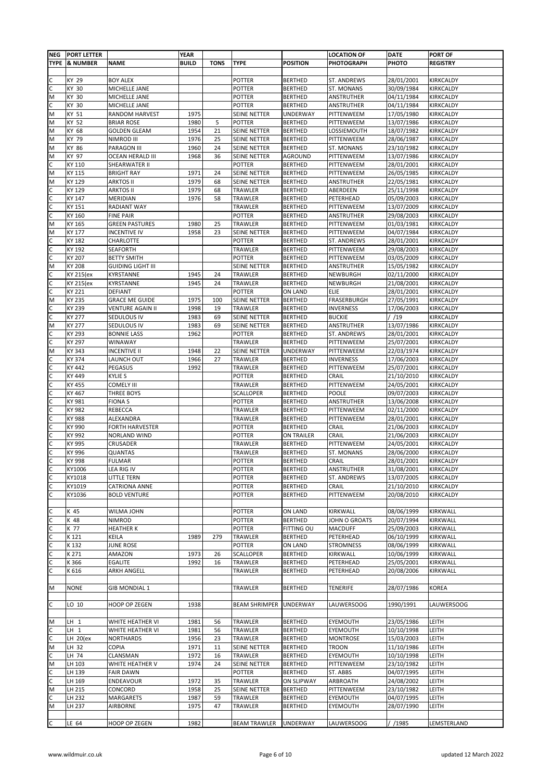|   | <b>NEG PORT LETTER</b> |                          | <b>YEAR</b>  |             |                      |                 | <b>LOCATION OF</b> | <b>DATE</b> | PORT OF          |
|---|------------------------|--------------------------|--------------|-------------|----------------------|-----------------|--------------------|-------------|------------------|
|   | TYPE & NUMBER          | <b>NAME</b>              | <b>BUILD</b> | <b>TONS</b> | <b>TYPE</b>          | <b>POSITION</b> | <b>PHOTOGRAPH</b>  | PHOTO       | <b>REGISTRY</b>  |
|   |                        |                          |              |             |                      |                 |                    |             |                  |
| C | KY 29                  | <b>BOY ALEX</b>          |              |             | POTTER               | <b>BERTHED</b>  | ST. ANDREWS        | 28/01/2001  | KIRKCALDY        |
| С | KY 30                  | MICHELLE JANE            |              |             | POTTER               |                 | ST. MONANS         | 30/09/1984  | KIRKCALDY        |
|   |                        |                          |              |             |                      | <b>BERTHED</b>  |                    |             |                  |
| M | KY 30                  | MICHELLE JANE            |              |             | POTTER               | BERTHED         | ANSTRUTHER         | 04/11/1984  | KIRKCALDY        |
| С | KY 30                  | MICHELLE JANE            |              |             | POTTER               | <b>BERTHED</b>  | ANSTRUTHER         | 04/11/1984  | KIRKCALDY        |
| М | KY 51                  | RANDOM HARVEST           | 1975         |             | SEINE NETTER         | UNDERWAY        | PITTENWEEM         | 17/05/1980  | KIRKCALDY        |
| M | KY 52                  | <b>BRIAR ROSE</b>        | 1980         | 5           | <b>POTTER</b>        | <b>BERTHED</b>  | PITTENWEEM         | 13/07/1986  | KIRKCALDY        |
| M | KY 68                  |                          | 1954         | 21          |                      |                 |                    | 18/07/1982  | KIRKCALDY        |
|   |                        | <b>GOLDEN GLEAM</b>      |              |             | SEINE NETTER         | <b>BERTHED</b>  | LOSSIEMOUTH        |             |                  |
| M | KY 79                  | NIMROD III               | 1976         | 25          | SEINE NETTER         | <b>BERTHED</b>  | PITTENWEEM         | 28/06/1987  | KIRKCALDY        |
| M | KY 86                  | PARAGON III              | 1960         | 24          | SEINE NETTER         | <b>BERTHED</b>  | ST. MONANS         | 23/10/1982  | KIRKCALDY        |
| M | KY 97                  | <b>OCEAN HERALD III</b>  | 1968         | 36          | SEINE NETTER         | AGROUND         | PITTENWEEM         | 13/07/1986  | <b>KIRKCALDY</b> |
| C | KY 110                 | SHEARWATER II            |              |             | POTTER               | <b>BERTHED</b>  | PITTENWEEM         | 28/01/2001  | KIRKCALDY        |
| M | KY 115                 | <b>BRIGHT RAY</b>        | 1971         | 24          | SEINE NETTER         | <b>BERTHED</b>  | PITTENWEEM         | 26/05/1985  | KIRKCALDY        |
|   |                        |                          |              |             |                      | <b>BERTHED</b>  |                    |             |                  |
| M | KY 129                 | <b>ARKTOS II</b>         | 1979         | 68          | SEINE NETTER         |                 | ANSTRUTHER         | 22/05/1981  | KIRKCALDY        |
| C | KY 129                 | <b>ARKTOS II</b>         | 1979         | 68          | TRAWLER              | <b>BERTHED</b>  | ABERDEEN           | 25/11/1998  | KIRKCALDY        |
| C | KY 147                 | MERIDIAN                 | 1976         | 58          | TRAWLER              | <b>BERTHED</b>  | PETERHEAD          | 05/09/2003  | KIRKCALDY        |
| C | KY 151                 | <b>RADIANT WAY</b>       |              |             | TRAWLER              | <b>BERTHED</b>  | PITTENWEEM         | 13/07/2009  | KIRKCALDY        |
| C | KY 160                 | <b>FINE PAIR</b>         |              |             | <b>POTTER</b>        | <b>BERTHED</b>  | ANSTRUTHER         | 29/08/2003  | KIRKCALDY        |
|   |                        |                          |              |             |                      |                 |                    |             |                  |
| М | KY 165                 | <b>GREEN PASTURES</b>    | 1980         | 25          | TRAWLER              | <b>BERTHED</b>  | PITTENWEEM         | 01/03/1981  | KIRKCALDY        |
| M | KY 177                 | <b>INCENTIVE IV</b>      | 1958         | 23          | SEINE NETTER         | <b>BERTHED</b>  | PITTENWEEM         | 04/07/1984  | KIRKCALDY        |
| С | KY 182                 | CHARLOTTE                |              |             | POTTER               | <b>BERTHED</b>  | ST. ANDREWS        | 28/01/2001  | KIRKCALDY        |
| С | KY 192                 | SEAFORTH                 |              |             | TRAWLER              | <b>BERTHED</b>  | PITTENWEEM         | 29/08/2003  | KIRKCALDY        |
| С | KY 207                 | <b>BETTY SMITH</b>       |              |             | <b>POTTER</b>        | <b>BERTHED</b>  | PITTENWEEM         | 03/05/2009  | KIRKCALDY        |
|   |                        |                          |              |             |                      |                 |                    |             |                  |
| М | KY 208                 | <b>GUIDING LIGHT III</b> |              |             | SEINE NETTER         | <b>BERTHED</b>  | ANSTRUTHER         | 15/05/1982  | KIRKCALDY        |
| с | KY 215(ex              | KYRSTANNE                | 1945         | 24          | TRAWLER              | <b>BERTHED</b>  | NEWBURGH           | 02/11/2000  | KIRKCALDY        |
| С | KY 215(ex              | KYRSTANNE                | 1945         | 24          | TRAWLER              | <b>BERTHED</b>  | NEWBURGH           | 21/08/2001  | KIRKCALDY        |
| C | KY 221                 | <b>DEFIANT</b>           |              |             | POTTER               | ON LAND         | ELIE               | 28/01/2001  | KIRKCALDY        |
| M | KY 235                 | <b>GRACE ME GUIDE</b>    | 1975         | 100         | SEINE NETTER         | <b>BERTHED</b>  | FRASERBURGH        | 27/05/1991  | KIRKCALDY        |
| C | KY 239                 | <b>VENTURE AGAIN II</b>  | 1998         | 19          | TRAWLER              | <b>BERTHED</b>  | INVERNESS          | 17/06/2003  | KIRKCALDY        |
|   |                        |                          |              |             |                      |                 |                    |             |                  |
| C | KY 277                 | SEDULOUS IV              | 1983         | 69          | SEINE NETTER         | <b>BERTHED</b>  | <b>BUCKIE</b>      | / /19       | KIRKCALDY        |
| М | KY 277                 | SEDULOUS IV              | 1983         | 69          | SEINE NETTER         | <b>BERTHED</b>  | ANSTRUTHER         | 13/07/1986  | KIRKCALDY        |
| C | KY 293                 | <b>BONNIE LASS</b>       | 1962         |             | <b>POTTER</b>        | <b>BERTHED</b>  | ST. ANDREWS        | 28/01/2001  | KIRKCALDY        |
| C | KY 297                 | WINAWAY                  |              |             | TRAWLER              | <b>BERTHED</b>  | PITTENWEEM         | 25/07/2001  | KIRKCALDY        |
| M | KY 343                 | <b>INCENTIVE II</b>      | 1948         | 22          | SEINE NETTER         | <b>UNDERWAY</b> | PITTENWEEM         | 22/03/1974  | KIRKCALDY        |
|   |                        |                          |              |             |                      |                 |                    |             |                  |
| с | KY 374                 | LAUNCH OUT               | 1966         | 27          | TRAWLER              | <b>BERTHED</b>  | INVERNESS          | 17/06/2003  | KIRKCALDY        |
| C | KY 442                 | PEGASUS                  | 1992         |             | TRAWLER              | <b>BERTHED</b>  | PITTENWEEM         | 25/07/2001  | KIRKCALDY        |
| C | KY 449                 | <b>KYLIE S</b>           |              |             | POTTER               | <b>BERTHED</b>  | CRAIL              | 21/10/2010  | KIRKCALDY        |
| C | KY 455                 | <b>COMELY III</b>        |              |             | TRAWLER              | <b>BERTHED</b>  | PITTENWEEM         | 24/05/2001  | KIRKCALDY        |
| C | KY 467                 | THREE BOYS               |              |             | SCALLOPER            | <b>BERTHED</b>  | POOLE              | 09/07/2003  | KIRKCALDY        |
| C | KY 981                 | <b>FIONAS</b>            |              |             | POTTER               | <b>BERTHED</b>  | ANSTRUTHER         | 13/06/2008  | KIRKCALDY        |
|   |                        |                          |              |             |                      |                 |                    |             |                  |
| С | KY 982                 | REBECCA                  |              |             | TRAWLER              | <b>BERTHED</b>  | PITTENWEEM         | 02/11/2000  | KIRKCALDY        |
| C | KY 988                 | ALEXANDRA                |              |             | TRAWLER              | <b>BERTHED</b>  | PITTENWEEM         | 28/01/2001  | KIRKCALDY        |
| С | KY 990                 | <b>FORTH HARVESTER</b>   |              |             | POTTER               | <b>BERTHED</b>  | CRAIL              | 21/06/2003  | KIRKCALDY        |
| C | KY 992                 | NORLAND WIND             |              |             | POTTER               | ON TRAILER      | CRAIL              | 21/06/2003  | KIRKCALDY        |
| с | KY 995                 | CRUSADER                 |              |             | TRAWLER              | BERTHED         | PITTENWEEM         | 24/05/2001  | KIRKCALDY        |
|   |                        |                          |              |             |                      |                 |                    |             |                  |
| с | KY 996                 | <b>QUANTAS</b>           |              |             | <b>TRAWLER</b>       | <b>BERTHED</b>  | ST. MONANS         | 28/06/2000  | KIRKCALDY        |
| С | KY 998                 | <b>FULMAR</b>            |              |             | <b>POTTER</b>        | <b>BERTHED</b>  | CRAIL              | 28/01/2001  | KIRKCALDY        |
| С | KY1006                 | LEA RIG IV               |              |             | POTTER               | <b>BERTHED</b>  | ANSTRUTHER         | 31/08/2001  | KIRKCALDY        |
| С | KY1018                 | LITTLE TERN              |              |             | POTTER               | <b>BERTHED</b>  | ST. ANDREWS        | 13/07/2005  | KIRKCALDY        |
| С | KY1019                 | <b>CATRIONA ANNE</b>     |              |             | POTTER               | <b>BERTHED</b>  | CRAIL              | 21/10/2010  | KIRKCALDY        |
| C | KY1036                 | <b>BOLD VENTURE</b>      |              |             | POTTER               | <b>BERTHED</b>  | PITTENWEEM         | 20/08/2010  | KIRKCALDY        |
|   |                        |                          |              |             |                      |                 |                    |             |                  |
|   |                        |                          |              |             |                      |                 |                    |             |                  |
| С | K 45                   | WILMA JOHN               |              |             | POTTER               | ON LAND         | KIRKWALL           | 08/06/1999  | KIRKWALL         |
| С | K 48                   | <b>NIMROD</b>            |              |             | POTTER               | <b>BERTHED</b>  | JOHN O GROATS      | 20/07/1994  | KIRKWALL         |
| C | K 77                   | <b>HEATHER K</b>         |              |             | POTTER               | FITTING OU      | <b>MACDUFF</b>     | 25/09/2003  | KIRKWALL         |
| C | K121                   | KEILA                    | 1989         | 279         | TRAWLER              | <b>BERTHED</b>  | PETERHEAD          | 06/10/1999  | KIRKWALL         |
| C | K132                   | JUNE ROSE                |              |             | POTTER               | ON LAND         | <b>STROMNESS</b>   | 08/06/1999  | KIRKWALL         |
|   |                        |                          |              |             |                      |                 |                    |             |                  |
| C | K 271                  | AMAZON                   | 1973         | 26          | <b>SCALLOPER</b>     | <b>BERTHED</b>  | KIRKWALL           | 10/06/1999  | KIRKWALL         |
| C | K 366                  | <b>EGALITE</b>           | 1992         | 16          | TRAWLER              | <b>BERTHED</b>  | PETERHEAD          | 25/05/2001  | KIRKWALL         |
| С | K 616                  | <b>ARKH ANGELL</b>       |              |             | <b>TRAWLER</b>       | <b>BERTHED</b>  | PETERHEAD          | 20/08/2006  | KIRKWALL         |
|   |                        |                          |              |             |                      |                 |                    |             |                  |
| M | <b>NONE</b>            | <b>GIB MONDIAL 1</b>     |              |             | TRAWLER              | <b>BERTHED</b>  | TENERIFE           | 28/07/1986  | KOREA            |
|   |                        |                          |              |             |                      |                 |                    |             |                  |
|   |                        |                          |              |             |                      |                 |                    |             |                  |
| C | LO 10                  | HOOP OP ZEGEN            | 1938         |             | <b>BEAM SHRIMPER</b> | <b>UNDERWAY</b> | LAUWERSOOG         | 1990/1991   | LAUWERSOOG       |
|   |                        |                          |              |             |                      |                 |                    |             |                  |
| M | $LH$ 1                 | WHITE HEATHER VI         | 1981         | 56          | TRAWLER              | <b>BERTHED</b>  | EYEMOUTH           | 23/05/1986  | LEITH            |
| C | $LH$ 1                 | WHITE HEATHER VI         | 1981         | 56          | TRAWLER              | <b>BERTHED</b>  | EYEMOUTH           | 10/10/1998  | LEITH            |
| C | LH 20(ex               | <b>NORTHARDS</b>         | 1956         | 23          | TRAWLER              | <b>BERTHED</b>  | <b>MONTROSE</b>    | 15/03/2003  | LEITH            |
| М | LH 32                  | COPIA                    | 1971         | 11          |                      |                 |                    |             |                  |
|   |                        |                          |              |             | SEINE NETTER         | <b>BERTHED</b>  | <b>TROON</b>       | 11/10/1986  | LEITH            |
| С | LH 74                  | CLANSMAN                 | 1972         | 16          | TRAWLER              | <b>BERTHED</b>  | EYEMOUTH           | 10/10/1998  | LEITH            |
| М | LH 103                 | WHITE HEATHER V          | 1974         | 24          | SEINE NETTER         | <b>BERTHED</b>  | PITTENWEEM         | 23/10/1982  | LEITH            |
| С | LH 139                 | <b>FAIR DAWN</b>         |              |             | POTTER               | <b>BERTHED</b>  | ST. ABBS           | 04/07/1995  | LEITH            |
| C | LH 169                 | ENDEAVOUR                | 1972         | 35          | TRAWLER              | ON SLIPWAY      | ARBROATH           | 24/08/2002  | LEITH            |
| M | LH 215                 | CONCORD                  | 1958         | 25          | SEINE NETTER         | <b>BERTHED</b>  | PITTENWEEM         | 23/10/1982  | LEITH            |
| С |                        |                          |              |             |                      |                 |                    |             |                  |
|   | LH 232                 | MARGARETS                | 1987         | 59          | TRAWLER              | <b>BERTHED</b>  | EYEMOUTH           | 04/07/1995  | LEITH            |
| M | LH 237                 | AIRBORNE                 | 1975         | 47          | TRAWLER              | <b>BERTHED</b>  | EYEMOUTH           | 28/07/1990  | LEITH            |
|   |                        |                          |              |             |                      |                 |                    |             |                  |
| С | LE 64                  | HOOP OP ZEGEN            | 1982         |             | <b>BEAM TRAWLER</b>  | UNDERWAY        | LAUWERSOOG         | / /1985     | LEMSTERLAND      |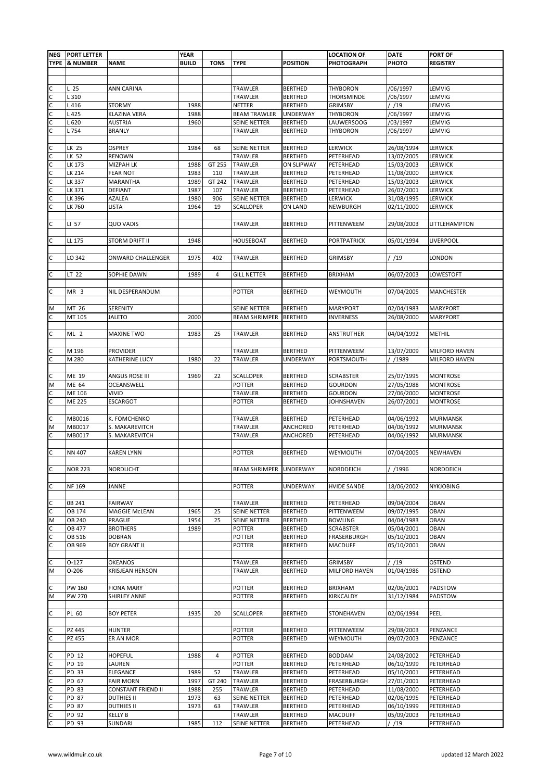| <b>NEG</b>   | <b>PORT LETTER</b> |                           | <b>YEAR</b>  |             |                               |                   | <b>LOCATION OF</b> | <b>DATE</b> | PORT OF           |
|--------------|--------------------|---------------------------|--------------|-------------|-------------------------------|-------------------|--------------------|-------------|-------------------|
|              | TYPE  & NUMBER     | <b>NAME</b>               | <b>BUILD</b> | <b>TONS</b> | <b>TYPE</b>                   | <b>POSITION</b>   | <b>PHOTOGRAPH</b>  | PHOTO       | <b>REGISTRY</b>   |
|              |                    |                           |              |             |                               |                   |                    |             |                   |
|              |                    |                           |              |             |                               |                   |                    |             |                   |
| с            | L 25               | ANN CARINA                |              |             | TRAWLER                       | <b>BERTHED</b>    | <b>THYBORON</b>    | /06/1997    | LEMVIG            |
| C            | L 310              |                           |              |             | TRAWLER                       | <b>BERTHED</b>    | THORSMINDE         | /06/1997    | LEMVIG            |
| с            | L 416              | <b>STORMY</b>             | 1988         |             | NETTER                        | <b>BERTHED</b>    | GRIMSBY            | / /19       | LEMVIG            |
| C            | L 425              | <b>KLAZINA VERA</b>       | 1988         |             | <b>BEAM TRAWLER</b>           | UNDERWAY          | <b>THYBORON</b>    | /06/1997    | LEMVIG            |
| С            | L 620              | AUSTRIA                   | 1960         |             | SEINE NETTER                  | <b>BERTHED</b>    | LAUWERSOOG         | /03/1997    | LEMVIG            |
| C            | L 754              | <b>BRANLY</b>             |              |             | TRAWLER                       | <b>BERTHED</b>    | THYBORON           | /06/1997    | LEMVIG            |
|              |                    |                           |              |             |                               |                   |                    |             |                   |
| C            | LK 25              | <b>OSPREY</b>             | 1984         | 68          | SEINE NETTER                  | <b>BERTHED</b>    | <b>LERWICK</b>     | 26/08/1994  | LERWICK           |
| C            | LK 52              | <b>RENOWN</b>             |              |             | TRAWLER                       | <b>BERTHED</b>    | PETERHEAD          | 13/07/2005  | LERWICK           |
| С            | LK 173             | MIZPAH LK                 | 1988         | GT 255      | TRAWLER                       | <b>ON SLIPWAY</b> | PETERHEAD          | 15/03/2003  | LERWICK           |
| C            | LK 214             | <b>FEAR NOT</b>           | 1983         | 110         | TRAWLER                       |                   | PETERHEAD          | 11/08/2000  | LERWICK           |
| С            |                    | <b>MARANTHA</b>           | 1989         |             |                               | <b>BERTHED</b>    |                    |             |                   |
|              | LK 337             |                           |              | GT 242      | TRAWLER                       | <b>BERTHED</b>    | PETERHEAD          | 15/03/2003  | LERWICK           |
| C            | LK 371             | <b>DEFIANT</b>            | 1987         | 107         | TRAWLER                       | <b>BERTHED</b>    | PETERHEAD          | 26/07/2001  | LERWICK           |
| C            | LK 396             | AZALEA                    | 1980         | 906         | SEINE NETTER                  | <b>BERTHED</b>    | LERWICK            | 31/08/1995  | LERWICK           |
| C            | LK 760             | LISTA                     | 1964         | 19          | SCALLOPER                     | ON LAND           | NEWBURGH           | 02/11/2000  | LERWICK           |
|              |                    |                           |              |             |                               |                   |                    |             |                   |
| C            | LI 57              | QUO VADIS                 |              |             | TRAWLER                       | BERTHED           | PITTENWEEM         | 29/08/2003  | LITTLEHAMPTON     |
|              |                    |                           |              |             |                               |                   |                    |             |                   |
| C            | LL 175             | STORM DRIFT II            | 1948         |             | HOUSEBOAT                     | <b>BERTHED</b>    | PORTPATRICK        | 05/01/1994  | LIVERPOOL         |
|              |                    |                           |              |             |                               |                   |                    |             |                   |
| C            | LO 342             | ONWARD CHALLENGER         | 1975         | 402         | TRAWLER                       | <b>BERTHED</b>    | <b>GRIMSBY</b>     | / /19       | LONDON            |
|              |                    |                           |              |             |                               |                   |                    |             |                   |
| с            | LT 22              | SOPHIE DAWN               | 1989         | 4           | GILL NETTER                   | <b>BERTHED</b>    | <b>BRIXHAM</b>     | 06/07/2003  | LOWESTOFT         |
|              |                    |                           |              |             |                               |                   |                    |             |                   |
| с            | MR 3               | NIL DESPERANDUM           |              |             | POTTER                        | BERTHED           | WEYMOUTH           | 07/04/2005  | <b>MANCHESTER</b> |
|              |                    |                           |              |             |                               |                   |                    |             |                   |
| М            | MT 26              | SERENITY                  |              |             | SEINE NETTER                  | <b>BERTHED</b>    | <b>MARYPORT</b>    | 02/04/1983  | <b>MARYPORT</b>   |
| C            | MT 105             | <b>JALETO</b>             | 2000         |             | <b>BEAM SHRIMPER</b>          | <b>BERTHED</b>    | <b>INVERNESS</b>   | 26/08/2000  | <b>MARYPORT</b>   |
|              |                    |                           |              |             |                               |                   |                    |             |                   |
| C            | ML 2               | <b>MAXINE TWO</b>         | 1983         | 25          | TRAWLER                       | <b>BERTHED</b>    | ANSTRUTHER         | 04/04/1992  | <b>METHIL</b>     |
|              |                    |                           |              |             |                               |                   |                    |             |                   |
| C            | M 196              | <b>PROVIDER</b>           |              |             | TRAWLER                       | <b>BERTHED</b>    | PITTENWEEM         | 13/07/2009  | MILFORD HAVEN     |
| C            | M 280              | <b>KATHERINE LUCY</b>     | 1980         | 22          | TRAWLER                       | UNDERWAY          | PORTSMOUTH         | / /1989     | MILFORD HAVEN     |
|              |                    |                           |              |             |                               |                   |                    |             |                   |
| с            | ME 19              | ANGUS ROSE III            | 1969         | 22          | SCALLOPER                     | <b>BERTHED</b>    | <b>SCRABSTER</b>   | 25/07/1995  | <b>MONTROSE</b>   |
| M            | ME 64              | OCEANSWELL                |              |             | POTTER                        | <b>BERTHED</b>    | GOURDON            | 27/05/1988  | <b>MONTROSE</b>   |
| С            | ME 106             | VIVID                     |              |             | TRAWLER                       | <b>BERTHED</b>    | GOURDON            | 27/06/2000  | <b>MONTROSE</b>   |
| C            | <b>ME 225</b>      | <b>ESCARGOT</b>           |              |             | POTTER                        | <b>BERTHED</b>    | JOHNSHAVEN         | 26/07/2001  | <b>MONTROSE</b>   |
|              |                    |                           |              |             |                               |                   |                    |             |                   |
| C            |                    |                           |              |             |                               |                   | PETERHEAD          | 04/06/1992  |                   |
|              | MB0016             | K. FOMCHENKO              |              |             | TRAWLER                       | BERTHED           |                    |             | MURMANSK          |
| M            | MB0017             | S. MAKAREVITCH            |              |             | TRAWLER                       | ANCHORED          | PETERHEAD          | 04/06/1992  | MURMANSK          |
| C            | MB0017             | S. MAKAREVITCH            |              |             | TRAWLER                       | ANCHORED          | PETERHEAD          | 04/06/1992  | MURMANSK          |
|              |                    |                           |              |             |                               |                   |                    |             |                   |
| C            | <b>NN 407</b>      | <b>KAREN LYNN</b>         |              |             | POTTER                        | <b>BERTHED</b>    | WEYMOUTH           | 07/04/2005  | NEWHAVEN          |
|              |                    |                           |              |             |                               |                   |                    |             |                   |
| С            | <b>NOR 223</b>     | <b>NORDLICHT</b>          |              |             | <b>BEAM SHRIMPER UNDERWAY</b> |                   | <b>NORDDEICH</b>   | / /1996     | <b>NORDDEICH</b>  |
|              |                    |                           |              |             |                               |                   |                    |             |                   |
| C            | NF 169             | JANNE                     |              |             | POTTER                        | UNDERWAY          | <b>HVIDE SANDE</b> | 18/06/2002  | <b>NYKJOBING</b>  |
|              |                    |                           |              |             |                               |                   |                    |             |                   |
| С            | 0B 241             | <b>FAIRWAY</b>            |              |             | TRAWLER                       | <b>BERTHED</b>    | PETERHEAD          | 09/04/2004  | <b>OBAN</b>       |
| $\mathsf{C}$ | OB 174             | MAGGIE McLEAN             | 1965         | 25          | SEINE NETTER                  | <b>BERTHED</b>    | PITTENWEEM         | 09/07/1995  | <b>OBAN</b>       |
| М            | OB 240             | PRAGUE                    | 1954         | 25          | SEINE NETTER                  | <b>BERTHED</b>    | <b>BOWLING</b>     | 04/04/1983  | <b>OBAN</b>       |
| С            | OB 477             | <b>BROTHERS</b>           | 1989         |             | POTTER                        | <b>BERTHED</b>    | <b>SCRABSTER</b>   | 05/04/2001  | <b>OBAN</b>       |
| C            | OB 516             | <b>DOBRAN</b>             |              |             | POTTER                        | <b>BERTHED</b>    | FRASERBURGH        | 05/10/2001  | <b>OBAN</b>       |
| C            | OB 969             | <b>BOY GRANT II</b>       |              |             | POTTER                        | <b>BERTHED</b>    | <b>MACDUFF</b>     | 05/10/2001  | <b>OBAN</b>       |
|              |                    |                           |              |             |                               |                   |                    |             |                   |
| C            | $0-127$            | <b>OKEANOS</b>            |              |             | TRAWLER                       | <b>BERTHED</b>    | <b>GRIMSBY</b>     | / /19       | <b>OSTEND</b>     |
| M            | $O-206$            | <b>KRISJEAN HENSON</b>    |              |             | TRAWLER                       | <b>BERTHED</b>    | MILFORD HAVEN      | 01/04/1986  | OSTEND            |
|              |                    |                           |              |             |                               |                   |                    |             |                   |
| С            | PW 160             | <b>FIONA MARY</b>         |              |             | POTTER                        | <b>BERTHED</b>    | <b>BRIXHAM</b>     | 02/06/2001  | PADSTOW           |
| M            | PW 270             | <b>SHIRLEY ANNE</b>       |              |             | POTTER                        | <b>BERTHED</b>    | KIRKCALDY          | 31/12/1984  | PADSTOW           |
|              |                    |                           |              |             |                               |                   |                    |             |                   |
| C            | PL 60              | <b>BOY PETER</b>          | 1935         | 20          | SCALLOPER                     | <b>BERTHED</b>    | STONEHAVEN         | 02/06/1994  | PEEL              |
|              |                    |                           |              |             |                               |                   |                    |             |                   |
| C            | PZ 445             | <b>HUNTER</b>             |              |             | <b>POTTER</b>                 | <b>BERTHED</b>    | PITTENWEEM         | 29/08/2003  | PENZANCE          |
| C            | PZ 455             | ER AN MOR                 |              |             | POTTER                        | <b>BERTHED</b>    | WEYMOUTH           | 09/07/2003  | PENZANCE          |
|              |                    |                           |              |             |                               |                   |                    |             |                   |
| C            | PD 12              | <b>HOPEFUL</b>            | 1988         | 4           | POTTER                        | <b>BERTHED</b>    | <b>BODDAM</b>      | 24/08/2002  | PETERHEAD         |
| C            | PD 19              | LAUREN                    |              |             | POTTER                        | <b>BERTHED</b>    | PETERHEAD          | 06/10/1999  | PETERHEAD         |
| C            | PD 33              | <b>ELEGANCE</b>           | 1989         | 52          | TRAWLER                       | <b>BERTHED</b>    | PETERHEAD          | 05/10/2001  | PETERHEAD         |
| C            |                    |                           |              |             |                               |                   |                    |             |                   |
|              | PD 67              | <b>FAIR MORN</b>          | 1997         | GT 240      | TRAWLER                       | <b>BERTHED</b>    | FRASERBURGH        | 27/01/2001  | PETERHEAD         |
| С            | PD 83              | <b>CONSTANT FRIEND II</b> | 1988         | 255         | TRAWLER                       | <b>BERTHED</b>    | PETERHEAD          | 11/08/2000  | PETERHEAD         |
| C            | PD 87              | <b>DUTHIES II</b>         | 1973         | 63          | SEINE NETTER                  | <b>BERTHED</b>    | PETERHEAD          | 02/06/1995  | PETERHEAD         |
| с            | PD 87              | <b>DUTHIES II</b>         | 1973         | 63          | TRAWLER                       | <b>BERTHED</b>    | PETERHEAD          | 06/10/1999  | PETERHEAD         |
| С            | PD 92              | <b>KELLY B</b>            |              |             | TRAWLER                       | <b>BERTHED</b>    | <b>MACDUFF</b>     | 05/09/2003  | PETERHEAD         |
| C            | PD 93              | SUNDARI                   | 1985         | 112         | SEINE NETTER                  | <b>BERTHED</b>    | PETERHEAD          | / /19       | PETERHEAD         |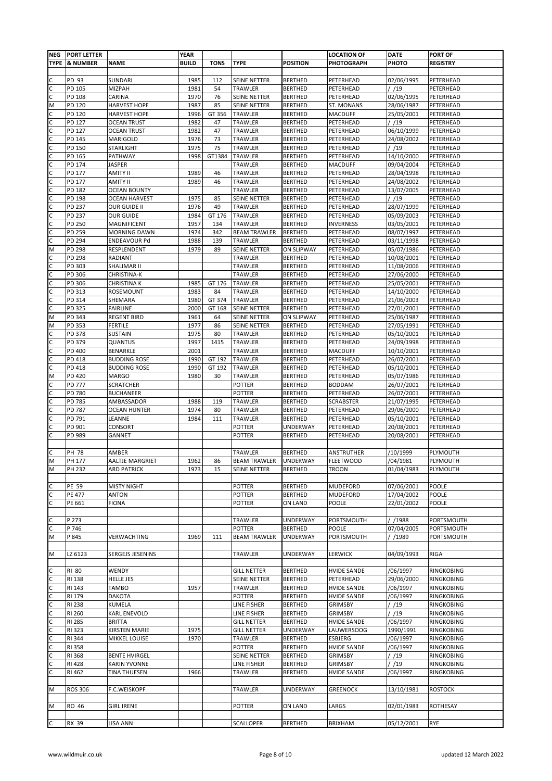| <b>NEG</b> | <b>PORT LETTER</b>             |                                             | <b>YEAR</b>  |              |                               |                                   | <b>LOCATION OF</b>               | <b>DATE</b>              | <b>PORT OF</b>           |
|------------|--------------------------------|---------------------------------------------|--------------|--------------|-------------------------------|-----------------------------------|----------------------------------|--------------------------|--------------------------|
|            | <b>TYPE &amp; NUMBER</b>       | <b>NAME</b>                                 | <b>BUILD</b> | <b>TONS</b>  | <b>TYPE</b>                   | <b>POSITION</b>                   | <b>PHOTOGRAPH</b>                | PHOTO                    | <b>REGISTRY</b>          |
|            |                                |                                             |              |              |                               |                                   |                                  |                          |                          |
| с          | PD 93                          | SUNDARI                                     | 1985         | 112          | SEINE NETTER                  | <b>BERTHED</b>                    | PETERHEAD                        | 02/06/1995               | PETERHEAD                |
| С          | PD 105                         | MIZPAH                                      | 1981         | 54           | TRAWLER                       | <b>BERTHED</b>                    | PETERHEAD                        | / /19                    | PETERHEAD                |
| C          | PD 108                         | CARINA<br><b>HARVEST HOPE</b>               | 1970<br>1987 | 76           | SEINE NETTER                  | <b>BERTHED</b>                    | PETERHEAD                        | 02/06/1995               | PETERHEAD<br>PETERHEAD   |
| M<br>C     | PD 120<br>PD 120               | <b>HARVEST HOPE</b>                         | 1996         | 85<br>GT 356 | SEINE NETTER<br>TRAWLER       | <b>BERTHED</b><br><b>BERTHED</b>  | ST. MONANS<br><b>MACDUFF</b>     | 28/06/1987<br>25/05/2001 | PETERHEAD                |
| С          | PD 127                         | <b>OCEAN TRUST</b>                          | 1982         | 47           | TRAWLER                       | <b>BERTHED</b>                    | PETERHEAD                        | /19                      | PETERHEAD                |
| с          | PD 127                         | <b>OCEAN TRUST</b>                          | 1982         | 47           | TRAWLER                       | <b>BERTHED</b>                    | PETERHEAD                        | 06/10/1999               | PETERHEAD                |
| C          | PD 145                         | MARIGOLD                                    | 1976         | 73           | TRAWLER                       | <b>BERTHED</b>                    | PETERHEAD                        | 24/08/2002               | PETERHEAD                |
| C          | PD 150                         | <b>STARLIGHT</b>                            | 1975         | 75           | TRAWLER                       | <b>BERTHED</b>                    | PETERHEAD                        | / /19                    | PETERHEAD                |
| C          | PD 165                         | PATHWAY                                     | 1998         | GT1384       | TRAWLER                       | <b>BERTHED</b>                    | PETERHEAD                        | 14/10/2000               | PETERHEAD                |
| C          | PD 174                         | <b>JASPER</b>                               |              |              | TRAWLER                       | <b>BERTHED</b>                    | <b>MACDUFF</b>                   | 09/04/2004               | PETERHEAD                |
| C          | PD 177                         | <b>AMITY II</b>                             | 1989         | 46           | TRAWLER                       | <b>BERTHED</b>                    | PETERHEAD                        | 28/04/1998               | PETERHEAD                |
| С          | PD 177                         | <b>AMITY II</b>                             | 1989         | 46           | TRAWLER                       | <b>BERTHED</b>                    | PETERHEAD                        | 24/08/2002               | PETERHEAD                |
| C          | PD 182                         | <b>OCEAN BOUNTY</b>                         |              |              | TRAWLER                       | <b>BERTHED</b>                    | PETERHEAD                        | 13/07/2005               | PETERHEAD                |
| С<br>C     | PD 198<br>PD 237               | <b>OCEAN HARVEST</b><br>OUR GUIDE II        | 1975<br>1976 | 85<br>49     | SEINE NETTER<br>TRAWLER       | <b>BERTHED</b><br><b>BERTHED</b>  | PETERHEAD<br>PETERHEAD           | / /19<br>28/07/1999      | PETERHEAD<br>PETERHEAD   |
| с          | PD 237                         | <b>OUR GUIDE</b>                            | 1984         | GT 176       | TRAWLER                       | <b>BERTHED</b>                    | PETERHEAD                        | 05/09/2003               | PETERHEAD                |
| С          | PD 250                         | MAGNIFICENT                                 | 1957         | 134          | TRAWLER                       | <b>BERTHED</b>                    | INVERNESS                        | 03/05/2001               | PETERHEAD                |
| с          | PD 259                         | <b>MORNING DAWN</b>                         | 1974         | 342          | <b>BEAM TRAWLER</b>           | <b>BERTHED</b>                    | PETERHEAD                        | 08/07/1997               | PETERHEAD                |
| C          | PD 294                         | ENDEAVOUR Pd                                | 1988         | 139          | TRAWLER                       | <b>BERTHED</b>                    | PETERHEAD                        | 03/11/1998               | PETERHEAD                |
| M          | PD 298                         | RESPLENDENT                                 | 1979         | 89           | SEINE NETTER                  | <b>ON SLIPWAY</b>                 | PETERHEAD                        | 05/07/1986               | PETERHEAD                |
| C          | PD 298                         | RADIANT                                     |              |              | TRAWLER                       | <b>BERTHED</b>                    | PETERHEAD                        | 10/08/2001               | PETERHEAD                |
| C          | PD 303                         | SHALIMAR II                                 |              |              | TRAWLER                       | <b>BERTHED</b>                    | PETERHEAD                        | 11/08/2006               | PETERHEAD                |
| C          | PD 306                         | CHRISTINA-K                                 |              |              | TRAWLER                       | <b>BERTHED</b>                    | PETERHEAD                        | 27/06/2000               | PETERHEAD                |
| С          | PD 306                         | <b>CHRISTINA K</b>                          | 1985         | GT 176       | TRAWLER                       | <b>BERTHED</b>                    | PETERHEAD                        | 25/05/2001               | PETERHEAD                |
| C          | PD 313                         | ROSEMOUNT                                   | 1983         | 84           | TRAWLER                       | <b>BERTHED</b>                    | PETERHEAD                        | 14/10/2000               | PETERHEAD                |
| C          | PD 314                         | SHEMARA                                     | 1980         | GT 374       | TRAWLER                       | <b>BERTHED</b>                    | PETERHEAD                        | 21/06/2003               | PETERHEAD                |
| C          | PD 325                         | <b>FAIRLINE</b>                             | 2000         | GT 168       | SEINE NETTER                  | <b>BERTHED</b>                    | PETERHEAD                        | 27/01/2001               | PETERHEAD                |
| M          | PD 343                         | <b>REGENT BIRD</b>                          | 1961<br>1977 | 64           | SEINE NETTER                  | <b>ON SLIPWAY</b>                 | PETERHEAD                        | 25/06/1987               | PETERHEAD                |
| M<br>C     | PD 353<br>PD 378               | <b>FERTILE</b><br>SUSTAIN                   | 1975         | 86<br>80     | SEINE NETTER<br>TRAWLER       | <b>BERTHED</b><br><b>BERTHED</b>  | PETERHEAD<br>PETERHEAD           | 27/05/1991<br>05/10/2001 | PETERHEAD<br>PETERHEAD   |
| C          | PD 379                         | QUANTUS                                     | 1997         | 1415         | TRAWLER                       | <b>BERTHED</b>                    | PETERHEAD                        | 24/09/1998               | PETERHEAD                |
| C          | PD 400                         | BENARKLE                                    | 2001         |              | TRAWLER                       | <b>BERTHED</b>                    | <b>MACDUFF</b>                   | 10/10/2001               | PETERHEAD                |
|            | PD 418                         | <b>BUDDING ROSE</b>                         | 1990         | GT 192       | TRAWLER                       | <b>BERTHED</b>                    | PETERHEAD                        | 26/07/2001               | PETERHEAD                |
| C          | PD 418                         | <b>BUDDING ROSE</b>                         | 1990         | GT 192       | TRAWLER                       | <b>BERTHED</b>                    | PETERHEAD                        | 05/10/2001               | PETERHEAD                |
| M          | PD 420                         | <b>MARGO</b>                                | 1980         | 30           | TRAWLER                       | <b>BERTHED</b>                    | PETERHEAD                        | 05/07/1986               | PETERHEAD                |
| С          | PD 777                         | <b>SCRATCHER</b>                            |              |              | POTTER                        | <b>BERTHED</b>                    | <b>BODDAM</b>                    | 26/07/2001               | PETERHEAD                |
| С          | PD 780                         | <b>BUCHANEER</b>                            |              |              | POTTER                        | <b>BERTHED</b>                    | PETERHEAD                        | 26/07/2001               | PETERHEAD                |
| C          | PD 785                         | AMBASSADOR                                  | 1988         | 119          | TRAWLER                       | <b>BERTHED</b>                    | <b>SCRABSTER</b>                 | 21/07/1995               | PETERHEAD                |
| C          | PD 787                         | <b>OCEAN HUNTER</b>                         | 1974         | 80           | TRAWLER                       | <b>BERTHED</b>                    | PETERHEAD                        | 29/06/2000               | PETERHEAD                |
| C          | PD 791                         | LEANNE                                      | 1984         | 111          | TRAWLER                       | <b>BERTHED</b>                    | PETERHEAD                        | 05/10/2001               | PETERHEAD                |
| с          | PD 901                         | CONSORT                                     |              |              | POTTER                        | <b>UNDERWAY</b>                   | PETERHEAD                        | 20/08/2001               | PETERHEAD                |
| С          | PD 989                         | <b>GANNET</b>                               |              |              | POTTER                        | <b>BERTHED</b>                    | PETERHEAD                        | 20/08/2001               | PETERHEAD                |
| с          | PH 78                          | AMBER                                       |              |              | TRAWLER                       | <b>BERTHED</b>                    | ANSTRUTHER                       | /10/1999                 | PLYMOUTH                 |
| M          | PH 177                         | <b>AALTJE MARGRIET</b>                      | 1962         | 86           | <b>BEAM TRAWLER</b>           | UNDERWAY                          | <b>FLEETWOOD</b>                 | /04/1981                 | PLYMOUTH                 |
| M          | PH 232                         | <b>ARD PATRICK</b>                          | 1973         | 15           | SEINE NETTER                  | <b>BERTHED</b>                    | <b>TROON</b>                     | 01/04/1983               | PLYMOUTH                 |
|            |                                |                                             |              |              |                               |                                   |                                  |                          |                          |
| С          | PE 59                          | <b>MISTY NIGHT</b>                          |              |              | POTTER                        | <b>BERTHED</b>                    | MUDEFORD                         | 07/06/2001               | POOLE                    |
| С          | <b>PE 477</b>                  | <b>ANTON</b>                                |              |              | POTTER                        | <b>BERTHED</b>                    | <b>MUDEFORD</b>                  | 17/04/2002               | POOLE                    |
| C          | PE 661                         | <b>FIONA</b>                                |              |              | POTTER                        | ON LAND                           | POOLE                            | 22/01/2002               | POOLE                    |
|            |                                |                                             |              |              |                               |                                   |                                  |                          |                          |
| C          | P 273                          |                                             |              |              | TRAWLER                       | <b>UNDERWAY</b>                   | PORTSMOUTH                       | //1988                   | PORTSMOUTH               |
| C<br>M     | P 746                          |                                             |              | 111          | POTTER<br><b>BEAM TRAWLER</b> | <b>BERTHED</b><br><b>UNDERWAY</b> | POOLE<br>PORTSMOUTH              | 07/04/2005<br>/ /1989    | PORTSMOUTH               |
|            | P 845                          | VERWACHTING                                 | 1969         |              |                               |                                   |                                  |                          | PORTSMOUTH               |
| М          | LZ 6123                        | SERGEJS JESENINS                            |              |              | TRAWLER                       | <b>UNDERWAY</b>                   | <b>LERWICK</b>                   | 04/09/1993               | RIGA                     |
|            |                                |                                             |              |              |                               |                                   |                                  |                          |                          |
| С          | <b>RI 80</b>                   | WENDY                                       |              |              | GILL NETTER                   | <b>BERTHED</b>                    | <b>HVIDE SANDE</b>               | /06/1997                 | RINGKOBING               |
| C          | <b>RI 138</b>                  | <b>HELLE JES</b>                            |              |              | SEINE NETTER                  | <b>BERTHED</b>                    | PETERHEAD                        | 29/06/2000               | RINGKOBING               |
| С          | RI 143                         | TAMBO                                       | 1957         |              | TRAWLER                       | <b>BERTHED</b>                    | <b>HVIDE SANDE</b>               | /06/1997                 | RINGKOBING               |
| C          | <b>RI 179</b>                  | <b>DAKOTA</b>                               |              |              | POTTER                        | <b>BERTHED</b>                    | <b>HVIDE SANDE</b>               | /06/1997                 | RINGKOBING               |
| C          | <b>RI 238</b>                  | KUMELA                                      |              |              | LINE FISHER                   | <b>BERTHED</b>                    | <b>GRIMSBY</b>                   | / /19                    | RINGKOBING               |
| C          | RI 260                         | <b>KARL ENEVOLD</b>                         |              |              | LINE FISHER                   | <b>BERTHED</b>                    | <b>GRIMSBY</b>                   | / /19                    | RINGKOBING               |
| C          | <b>RI 285</b>                  | <b>BRITTA</b>                               |              |              | <b>GILL NETTER</b>            | <b>BERTHED</b>                    | <b>HVIDE SANDE</b>               | /06/1997                 | RINGKOBING               |
| C          | RI 323                         | <b>KIRSTEN MARIE</b>                        | 1975         |              | <b>GILL NETTER</b>            | <b>UNDERWAY</b>                   | <b>LAUWERSOOG</b>                | 1990/1991                | RINGKOBING               |
| С          | RI 344                         | <b>MIKKEL LOUISE</b>                        | 1970         |              | TRAWLER                       | <b>BERTHED</b>                    | ESBJERG                          | /06/1997                 | RINGKOBING               |
| C          | <b>RI 358</b>                  |                                             |              |              | POTTER<br>SEINE NETTER        | <b>BERTHED</b><br><b>BERTHED</b>  | <b>HVIDE SANDE</b>               | /06/1997                 | RINGKOBING               |
| С<br>C     | <b>RI 368</b><br><b>RI 428</b> | <b>BENTE HVIRGEL</b><br><b>KARIN YVONNE</b> |              |              | LINE FISHER                   | <b>BERTHED</b>                    | <b>GRIMSBY</b><br><b>GRIMSBY</b> | / /19<br>/19             | RINGKOBING<br>RINGKOBING |
| C          | RI 462                         | <b>TINA THUESEN</b>                         | 1966         |              | TRAWLER                       | <b>BERTHED</b>                    | <b>HVIDE SANDE</b>               | /06/1997                 | RINGKOBING               |
|            |                                |                                             |              |              |                               |                                   |                                  |                          |                          |
| М          | <b>ROS 306</b>                 | F.C.WEISKOPF                                |              |              | TRAWLER                       | UNDERWAY                          | <b>GREENOCK</b>                  | 13/10/1981               | <b>ROSTOCK</b>           |
|            |                                |                                             |              |              |                               |                                   |                                  |                          |                          |
| M          | RO 46                          | <b>GIRL IRENE</b>                           |              |              | POTTER                        | ON LAND                           | LARGS                            | 02/01/1983               | ROTHESAY                 |
|            |                                |                                             |              |              |                               |                                   |                                  |                          |                          |
| С          | RX 39                          | <b>LISA ANN</b>                             |              |              | SCALLOPER                     | <b>BERTHED</b>                    | <b>BRIXHAM</b>                   | 05/12/2001               | <b>RYE</b>               |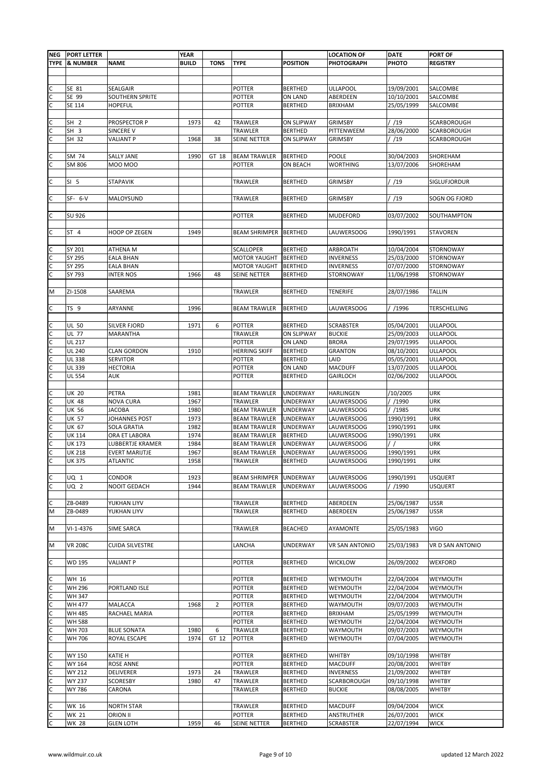|                                | NEG PORT LETTER |                       | <b>YEAR</b>  |                |                      |                   | <b>LOCATION OF</b>    | <b>DATE</b> | <b>PORT OF</b>      |
|--------------------------------|-----------------|-----------------------|--------------|----------------|----------------------|-------------------|-----------------------|-------------|---------------------|
|                                | TYPE & NUMBER   | <b>NAME</b>           | <b>BUILD</b> | <b>TONS</b>    | <b>TYPE</b>          | <b>POSITION</b>   | <b>PHOTOGRAPH</b>     | PHOTO       | <b>REGISTRY</b>     |
|                                |                 |                       |              |                |                      |                   |                       |             |                     |
|                                |                 |                       |              |                |                      |                   |                       |             |                     |
|                                | SE 81           | SEALGAIR              |              |                | POTTER               | <b>BERTHED</b>    | <b>ULLAPOOL</b>       | 19/09/2001  | SALCOMBE            |
| $\mathsf{C}$                   | SE 99           | SOUTHERN SPRITE       |              |                | POTTER               | ON LAND           | ABERDEEN              | 10/10/2001  | SALCOMBE            |
|                                | SE 114          | <b>HOPEFUL</b>        |              |                | POTTER               | <b>BERTHED</b>    | <b>BRIXHAM</b>        | 25/05/1999  | SALCOMBE            |
|                                |                 |                       |              |                |                      |                   |                       |             |                     |
| $\mathsf{C}$                   | SH <sub>2</sub> | PROSPECTOR P          | 1973         | 42             | TRAWLER              | <b>ON SLIPWAY</b> | <b>GRIMSBY</b>        | / /19       | SCARBOROUGH         |
| $\mathsf{C}$                   | SH <sub>3</sub> | SINCERE V             |              |                | TRAWLER              | <b>BERTHED</b>    | PITTENWEEM            | 28/06/2000  |                     |
| $\overline{\mathsf{c}}$        |                 |                       |              |                |                      |                   |                       |             | SCARBOROUGH         |
|                                | SH 32           | VALIANT P             | 1968         | 38             | SEINE NETTER         | <b>ON SLIPWAY</b> | <b>GRIMSBY</b>        | / /19       | SCARBOROUGH         |
|                                |                 |                       |              |                |                      |                   |                       |             |                     |
| $\mathsf{C}$<br>$\overline{c}$ | SM 74           | SALLY JANE            | 1990         | GT 18          | <b>BEAM TRAWLER</b>  | <b>BERTHED</b>    | POOLE                 | 30/04/2003  | SHOREHAM            |
|                                | SM 806          | M00 M00               |              |                | <b>POTTER</b>        | ON BEACH          | <b>WORTHING</b>       | 13/07/2006  | SHOREHAM            |
|                                |                 |                       |              |                |                      |                   |                       |             |                     |
| C                              | SI <sub>5</sub> | <b>STAPAVIK</b>       |              |                | TRAWLER              | <b>BERTHED</b>    | <b>GRIMSBY</b>        | / /19       | SIGLUFJORDUR        |
|                                |                 |                       |              |                |                      |                   |                       |             |                     |
|                                | $SF - 6-V$      | MALOYSUND             |              |                | TRAWLER              | <b>BERTHED</b>    | <b>GRIMSBY</b>        | / /19       | SOGN OG FJORD       |
|                                |                 |                       |              |                |                      |                   |                       |             |                     |
| $\mathsf{C}$                   | SU 926          |                       |              |                | POTTER               | <b>BERTHED</b>    | <b>MUDEFORD</b>       | 03/07/2002  | SOUTHAMPTON         |
|                                |                 |                       |              |                |                      |                   |                       |             |                     |
| $\mathsf{C}$                   | ST 4            | <b>HOOP OP ZEGEN</b>  | 1949         |                | BEAM SHRIMPER        | <b>BERTHED</b>    | <b>LAUWERSOOG</b>     | 1990/1991   | <b>STAVOREN</b>     |
|                                |                 |                       |              |                |                      |                   |                       |             |                     |
|                                | SY 201          | ATHENA M              |              |                | <b>SCALLOPER</b>     | <b>BERTHED</b>    | ARBROATH              | 10/04/2004  | <b>STORNOWAY</b>    |
|                                | SY 295          | EALA BHAN             |              |                | <b>MOTOR YAUGHT</b>  | <b>BERTHED</b>    | <b>INVERNESS</b>      | 25/03/2000  | STORNOWAY           |
|                                | SY 295          | EALA BHAN             |              |                | <b>MOTOR YAUGHT</b>  | <b>BERTHED</b>    | <b>INVERNESS</b>      | 07/07/2000  | <b>STORNOWAY</b>    |
| $\frac{c}{c}$                  | SY 793          | INTER NOS             | 1966         | 48             | SEINE NETTER         | <b>BERTHED</b>    | STORNOWAY             | 11/06/1998  | STORNOWAY           |
|                                |                 |                       |              |                |                      |                   |                       |             |                     |
| M                              | ZI-1508         | SAAREMA               |              |                | TRAWLER              | <b>BERTHED</b>    | <b>TENERIFE</b>       | 28/07/1986  | <b>TALLIN</b>       |
|                                |                 |                       |              |                |                      |                   |                       |             |                     |
| $\mathsf{C}$                   | TS 9            | ARYANNE               | 1996         |                | <b>BEAM TRAWLER</b>  | <b>BERTHED</b>    | <b>LAUWERSOOG</b>     | / /1996     | <b>TERSCHELLING</b> |
|                                |                 |                       |              |                |                      |                   |                       |             |                     |
|                                |                 |                       |              |                |                      |                   |                       |             |                     |
| $\mathsf{C}$                   | UL 50           | SILVER FJORD          | 1971         | 6              | POTTER               | <b>BERTHED</b>    | <b>SCRABSTER</b>      | 05/04/2001  | <b>ULLAPOOL</b>     |
|                                | <b>UL 77</b>    | MARANTHA              |              |                | TRAWLER              | <b>ON SLIPWAY</b> | <b>BUCKIE</b>         | 25/09/2003  | <b>ULLAPOOL</b>     |
|                                | UL 217          |                       |              |                | POTTER               | ON LAND           | <b>BRORA</b>          | 29/07/1995  | <b>ULLAPOOL</b>     |
| ulululu                        | <b>UL 240</b>   | <b>CLAN GORDON</b>    | 1910         |                | <b>HERRING SKIFF</b> | <b>BERTHED</b>    | <b>GRANTON</b>        | 08/10/2001  | <b>ULLAPOOL</b>     |
|                                | <b>UL 338</b>   | SERVITOR              |              |                | POTTER               | <b>BERTHED</b>    | LAID                  | 05/05/2001  | <b>ULLAPOOL</b>     |
|                                | <b>UL 339</b>   | HECTORIA              |              |                | POTTER               | ON LAND           | MACDUFF               | 13/07/2005  | <b>ULLAPOOL</b>     |
|                                | UL 554          | AUK                   |              |                | POTTER               | <b>BERTHED</b>    | <b>GAIRLOCH</b>       | 02/06/2002  | <b>ULLAPOOL</b>     |
|                                |                 |                       |              |                |                      |                   |                       |             |                     |
|                                | UK 20           | PETRA                 | 1981         |                | BEAM TRAWLER         | <b>UNDERWAY</b>   | <b>HARLINGEN</b>      | /10/2005    | <b>URK</b>          |
|                                | UK 48           | NOVA CURA             | 1967         |                | TRAWLER              | UNDERWAY          | <b>LAUWERSOOG</b>     | / /1990     | <b>URK</b>          |
|                                | UK 56           | JACOBA                | 1980         |                | <b>BEAM TRAWLER</b>  | UNDERWAY          | LAUWERSOOG            | //1985      | <b>URK</b>          |
|                                | <b>UK 57</b>    | JOHANNES POST         | 1973         |                | <b>BEAM TRAWLER</b>  | <b>UNDERWAY</b>   | LAUWERSOOG            | 1990/1991   | <b>URK</b>          |
|                                | UK 67           | SOLA GRATIA           | 1982         |                | <b>BEAM TRAWLER</b>  | <b>UNDERWAY</b>   | <b>LAUWERSOOG</b>     | 1990/1991   | <b>URK</b>          |
|                                | UK 114          | ORA ET LABORA         | 1974         |                | <b>BEAM TRAWLER</b>  | <b>BERTHED</b>    | LAUWERSOOG            | 1990/1991   | <b>URK</b>          |
|                                | UK 173          | LUBBERTJE KRAMER      | 1984         |                | <b>BEAM TRAWLER</b>  | UNDERWAY          | <b>LAUWERSOOG</b>     |             | <b>URK</b>          |
|                                | UK 218          | <b>EVERT MARIJTJE</b> | 1967         |                | <b>BEAM TRAWLER</b>  | <b>UNDERWAY</b>   | LAUWERSOOG            | 1990/1991   | <b>URK</b>          |
| יט ט ט ט ט ט ט ט               | UK 375          | <b>ATLANTIC</b>       | 1958         |                | TRAWLER              | <b>BERTHED</b>    | <b>LAUWERSOOG</b>     | 1990/1991   | <b>URK</b>          |
|                                |                 |                       |              |                |                      |                   |                       |             |                     |
|                                |                 | CONDOR                | 1923         |                | <b>BEAM SHRIMPER</b> | <b>UNDERWAY</b>   | LAUWERSOOG            | 1990/1991   | <b>USQUERT</b>      |
| $\frac{1}{2}$                  | UQ 1            |                       |              |                |                      |                   |                       |             |                     |
|                                | UQ 2            | NOOIT GEDACH          | 1944         |                | <b>BEAM TRAWLER</b>  | <b>UNDERWAY</b>   | LAUWERSOOG            | / /1990     | <b>USQUERT</b>      |
|                                |                 |                       |              |                |                      |                   |                       |             |                     |
| C                              | ZB-0489         | YUKHAN LIYV           |              |                | TRAWLER              | <b>BERTHED</b>    | ABERDEEN              | 25/06/1987  | <b>USSR</b>         |
| M                              | ZB-0489         | YUKHAN LIYV           |              |                | TRAWLER              | <b>BERTHED</b>    | ABERDEEN              | 25/06/1987  | <b>USSR</b>         |
|                                |                 |                       |              |                |                      |                   |                       |             |                     |
| M                              | $VI - 1 - 4376$ | SIME SARCA            |              |                | TRAWLER              | <b>BEACHED</b>    | AYAMONTE              | 25/05/1983  | <b>VIGO</b>         |
|                                |                 |                       |              |                |                      |                   |                       |             |                     |
| M                              | <b>VR 208C</b>  | CUIDA SILVESTRE       |              |                | LANCHA               | UNDERWAY          | <b>VR SAN ANTONIO</b> | 25/03/1983  | VR D SAN ANTONIO    |
|                                |                 |                       |              |                |                      |                   |                       |             |                     |
| $\mathsf{C}$                   | <b>WD 195</b>   | <b>VALIANT P</b>      |              |                | POTTER               | <b>BERTHED</b>    | <b>WICKLOW</b>        | 26/09/2002  | WEXFORD             |
|                                |                 |                       |              |                |                      |                   |                       |             |                     |
| C                              | WH 16           |                       |              |                | POTTER               | <b>BERTHED</b>    | WEYMOUTH              | 22/04/2004  | WEYMOUTH            |
|                                | WH 296          | PORTLAND ISLE         |              |                | POTTER               | <b>BERTHED</b>    | WEYMOUTH              | 22/04/2004  | WEYMOUTH            |
|                                | <b>WH 347</b>   |                       |              |                | POTTER               | <b>BERTHED</b>    | WEYMOUTH              | 22/04/2004  | WEYMOUTH            |
| <u>ululululu</u>               | <b>WH 477</b>   | MALACCA               | 1968         | $\overline{2}$ | POTTER               | <b>BERTHED</b>    | WAYMOUTH              | 09/07/2003  | WEYMOUTH            |
|                                | <b>WH 485</b>   | RACHAEL MARIA         |              |                | POTTER               | <b>BERTHED</b>    | BRIXHAM               | 25/05/1999  | WEYMOUTH            |
|                                | <b>WH 588</b>   |                       |              |                | POTTER               | <b>BERTHED</b>    | WEYMOUTH              | 22/04/2004  | WEYMOUTH            |
|                                | WH 703          | <b>BLUE SONATA</b>    | 1980         | 6              | TRAWLER              | <b>BERTHED</b>    | WAYMOUTH              | 09/07/2003  | WEYMOUTH            |
|                                | WH 706          | ROYAL ESCAPE          | 1974         | GT 12          | POTTER               |                   | WEYMOUTH              | 07/04/2005  | WEYMOUTH            |
|                                |                 |                       |              |                |                      | <b>BERTHED</b>    |                       |             |                     |
|                                |                 |                       |              |                |                      |                   |                       |             |                     |
|                                | WY 150          | KATIE H               |              |                | POTTER               | <b>BERTHED</b>    | <b>WHITBY</b>         | 09/10/1998  | <b>WHITBY</b>       |
| $\frac{1}{2}$                  | WY 164          | ROSE ANNE             |              |                | POTTER               | <b>BERTHED</b>    | <b>MACDUFF</b>        | 20/08/2001  | <b>WHITBY</b>       |
|                                | WY 212          | DELIVERER             | 1973         | 24             | TRAWLER              | <b>BERTHED</b>    | <b>INVERNESS</b>      | 21/09/2002  | <b>WHITBY</b>       |
|                                | <b>WY 237</b>   | SCORESBY              | 1980         | 47             | TRAWLER              | <b>BERTHED</b>    | SCARBOROUGH           | 09/10/1998  | <b>WHITBY</b>       |
|                                | WY 786          | CARONA                |              |                | TRAWLER              | <b>BERTHED</b>    | <b>BUCKIE</b>         | 08/08/2005  | <b>WHITBY</b>       |
|                                |                 |                       |              |                |                      |                   |                       |             |                     |
|                                | WK 16           | <b>NORTH STAR</b>     |              |                | TRAWLER              | <b>BERTHED</b>    | <b>MACDUFF</b>        | 09/04/2004  | <b>WICK</b>         |
| u u u                          | <b>WK 21</b>    | ORION II              |              |                | POTTER               | <b>BERTHED</b>    | ANSTRUTHER            | 26/07/2001  | <b>WICK</b>         |
|                                | <b>WK 28</b>    | <b>GLEN LOTH</b>      | 1959         | 46             | SEINE NETTER         | <b>BERTHED</b>    | <b>SCRABSTER</b>      | 22/07/1994  | <b>WICK</b>         |